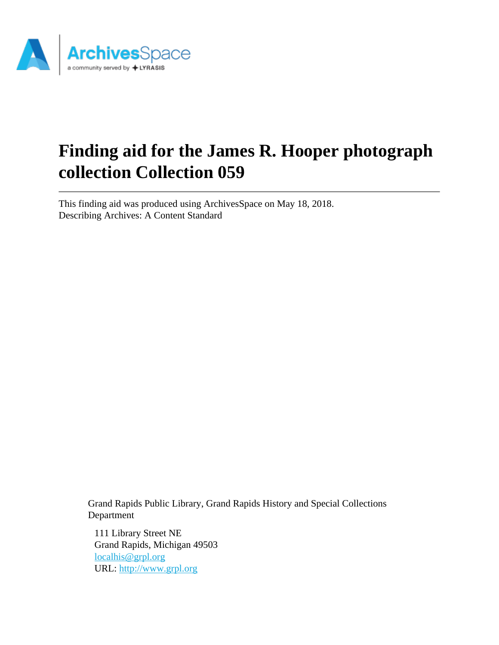

# **Finding aid for the James R. Hooper photograph collection Collection 059**

This finding aid was produced using ArchivesSpace on May 18, 2018. Describing Archives: A Content Standard

> Grand Rapids Public Library, Grand Rapids History and Special Collections Department

111 Library Street NE Grand Rapids, Michigan 49503 [localhis@grpl.org](mailto:localhis@grpl.org) URL:<http://www.grpl.org>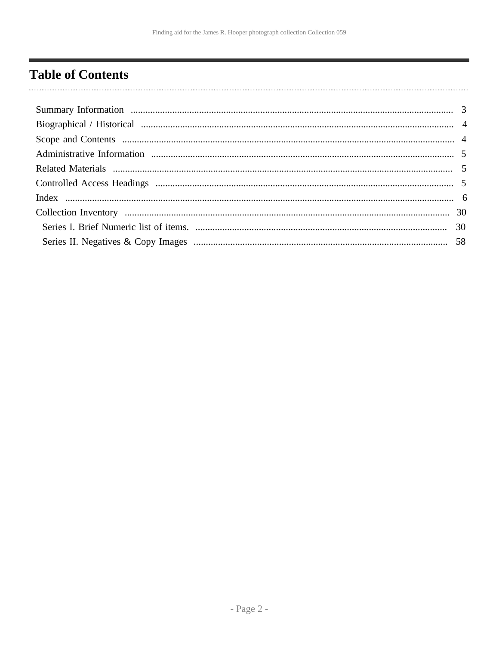# <span id="page-1-0"></span>**Table of Contents**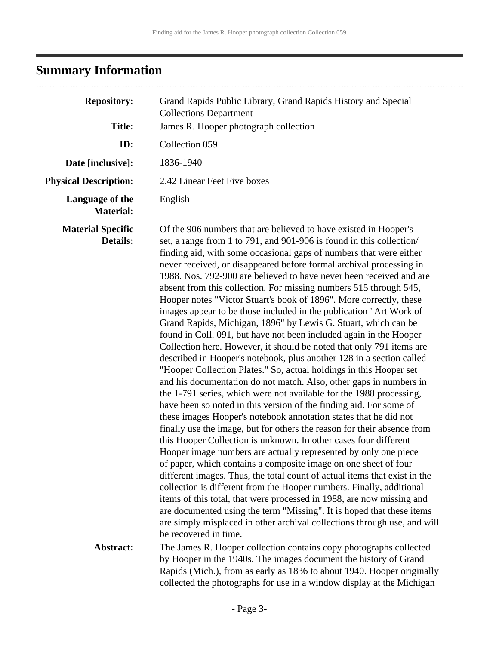# <span id="page-2-0"></span>**Summary Information**

| <b>Repository:</b>                          | Grand Rapids Public Library, Grand Rapids History and Special<br><b>Collections Department</b>                                                                                                                                                                                                                                                                                                                                                                                                                                                                                                                                                                                                                                                                                                                                                                                                                                                                                                                                                                                                                                                                                                                                                                                                                                                                                                                                                                                                                                                                                                                                                                                                                                                                                                                                                                                                                                      |  |
|---------------------------------------------|-------------------------------------------------------------------------------------------------------------------------------------------------------------------------------------------------------------------------------------------------------------------------------------------------------------------------------------------------------------------------------------------------------------------------------------------------------------------------------------------------------------------------------------------------------------------------------------------------------------------------------------------------------------------------------------------------------------------------------------------------------------------------------------------------------------------------------------------------------------------------------------------------------------------------------------------------------------------------------------------------------------------------------------------------------------------------------------------------------------------------------------------------------------------------------------------------------------------------------------------------------------------------------------------------------------------------------------------------------------------------------------------------------------------------------------------------------------------------------------------------------------------------------------------------------------------------------------------------------------------------------------------------------------------------------------------------------------------------------------------------------------------------------------------------------------------------------------------------------------------------------------------------------------------------------------|--|
| <b>Title:</b>                               | James R. Hooper photograph collection                                                                                                                                                                                                                                                                                                                                                                                                                                                                                                                                                                                                                                                                                                                                                                                                                                                                                                                                                                                                                                                                                                                                                                                                                                                                                                                                                                                                                                                                                                                                                                                                                                                                                                                                                                                                                                                                                               |  |
| ID:                                         | Collection 059                                                                                                                                                                                                                                                                                                                                                                                                                                                                                                                                                                                                                                                                                                                                                                                                                                                                                                                                                                                                                                                                                                                                                                                                                                                                                                                                                                                                                                                                                                                                                                                                                                                                                                                                                                                                                                                                                                                      |  |
| Date [inclusive]:                           | 1836-1940                                                                                                                                                                                                                                                                                                                                                                                                                                                                                                                                                                                                                                                                                                                                                                                                                                                                                                                                                                                                                                                                                                                                                                                                                                                                                                                                                                                                                                                                                                                                                                                                                                                                                                                                                                                                                                                                                                                           |  |
| <b>Physical Description:</b>                | 2.42 Linear Feet Five boxes                                                                                                                                                                                                                                                                                                                                                                                                                                                                                                                                                                                                                                                                                                                                                                                                                                                                                                                                                                                                                                                                                                                                                                                                                                                                                                                                                                                                                                                                                                                                                                                                                                                                                                                                                                                                                                                                                                         |  |
| Language of the<br><b>Material:</b>         | English                                                                                                                                                                                                                                                                                                                                                                                                                                                                                                                                                                                                                                                                                                                                                                                                                                                                                                                                                                                                                                                                                                                                                                                                                                                                                                                                                                                                                                                                                                                                                                                                                                                                                                                                                                                                                                                                                                                             |  |
| <b>Material Specific</b><br><b>Details:</b> | Of the 906 numbers that are believed to have existed in Hooper's<br>set, a range from 1 to 791, and 901-906 is found in this collection/<br>finding aid, with some occasional gaps of numbers that were either<br>never received, or disappeared before formal archival processing in<br>1988. Nos. 792-900 are believed to have never been received and are<br>absent from this collection. For missing numbers 515 through 545,<br>Hooper notes "Victor Stuart's book of 1896". More correctly, these<br>images appear to be those included in the publication "Art Work of<br>Grand Rapids, Michigan, 1896" by Lewis G. Stuart, which can be<br>found in Coll. 091, but have not been included again in the Hooper<br>Collection here. However, it should be noted that only 791 items are<br>described in Hooper's notebook, plus another 128 in a section called<br>"Hooper Collection Plates." So, actual holdings in this Hooper set<br>and his documentation do not match. Also, other gaps in numbers in<br>the 1-791 series, which were not available for the 1988 processing,<br>have been so noted in this version of the finding aid. For some of<br>these images Hooper's notebook annotation states that he did not<br>finally use the image, but for others the reason for their absence from<br>this Hooper Collection is unknown. In other cases four different<br>Hooper image numbers are actually represented by only one piece<br>of paper, which contains a composite image on one sheet of four<br>different images. Thus, the total count of actual items that exist in the<br>collection is different from the Hooper numbers. Finally, additional<br>items of this total, that were processed in 1988, are now missing and<br>are documented using the term "Missing". It is hoped that these items<br>are simply misplaced in other archival collections through use, and will<br>be recovered in time. |  |
| Abstract:                                   | The James R. Hooper collection contains copy photographs collected<br>by Hooper in the 1940s. The images document the history of Grand<br>Rapids (Mich.), from as early as 1836 to about 1940. Hooper originally<br>collected the photographs for use in a window display at the Michigan                                                                                                                                                                                                                                                                                                                                                                                                                                                                                                                                                                                                                                                                                                                                                                                                                                                                                                                                                                                                                                                                                                                                                                                                                                                                                                                                                                                                                                                                                                                                                                                                                                           |  |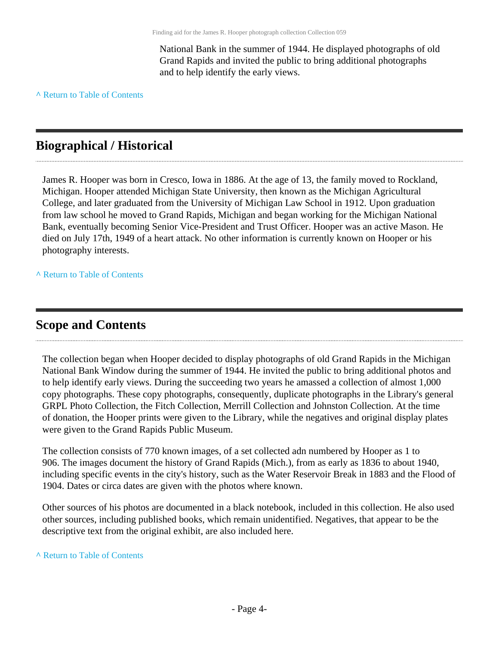National Bank in the summer of 1944. He displayed photographs of old Grand Rapids and invited the public to bring additional photographs and to help identify the early views.

**^** [Return to Table of Contents](#page-1-0)

## <span id="page-3-0"></span>**Biographical / Historical**

James R. Hooper was born in Cresco, Iowa in 1886. At the age of 13, the family moved to Rockland, Michigan. Hooper attended Michigan State University, then known as the Michigan Agricultural College, and later graduated from the University of Michigan Law School in 1912. Upon graduation from law school he moved to Grand Rapids, Michigan and began working for the Michigan National Bank, eventually becoming Senior Vice-President and Trust Officer. Hooper was an active Mason. He died on July 17th, 1949 of a heart attack. No other information is currently known on Hooper or his photography interests.

**^** [Return to Table of Contents](#page-1-0)

### <span id="page-3-1"></span>**Scope and Contents**

The collection began when Hooper decided to display photographs of old Grand Rapids in the Michigan National Bank Window during the summer of 1944. He invited the public to bring additional photos and to help identify early views. During the succeeding two years he amassed a collection of almost 1,000 copy photographs. These copy photographs, consequently, duplicate photographs in the Library's general GRPL Photo Collection, the Fitch Collection, Merrill Collection and Johnston Collection. At the time of donation, the Hooper prints were given to the Library, while the negatives and original display plates were given to the Grand Rapids Public Museum.

The collection consists of 770 known images, of a set collected adn numbered by Hooper as 1 to 906. The images document the history of Grand Rapids (Mich.), from as early as 1836 to about 1940, including specific events in the city's history, such as the Water Reservoir Break in 1883 and the Flood of 1904. Dates or circa dates are given with the photos where known.

Other sources of his photos are documented in a black notebook, included in this collection. He also used other sources, including published books, which remain unidentified. Negatives, that appear to be the descriptive text from the original exhibit, are also included here.

### **^** [Return to Table of Contents](#page-1-0)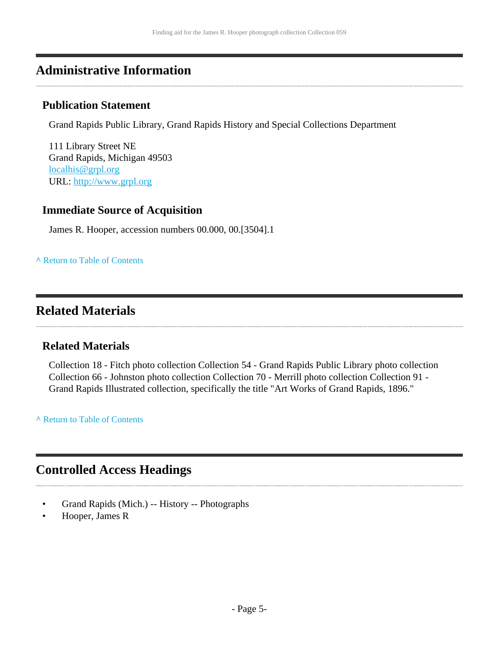### <span id="page-4-0"></span>**Administrative Information**

### **Publication Statement**

Grand Rapids Public Library, Grand Rapids History and Special Collections Department

111 Library Street NE Grand Rapids, Michigan 49503 [localhis@grpl.org](mailto:localhis@grpl.org) URL:<http://www.grpl.org>

### **Immediate Source of Acquisition**

James R. Hooper, accession numbers 00.000, 00.[3504].1

### **^** [Return to Table of Contents](#page-1-0)

# <span id="page-4-1"></span>**Related Materials**

### **Related Materials**

Collection 18 - Fitch photo collection Collection 54 - Grand Rapids Public Library photo collection Collection 66 - Johnston photo collection Collection 70 - Merrill photo collection Collection 91 - Grand Rapids Illustrated collection, specifically the title "Art Works of Grand Rapids, 1896."

**^** [Return to Table of Contents](#page-1-0)

# <span id="page-4-2"></span>**Controlled Access Headings**

- Grand Rapids (Mich.) -- History -- Photographs
- Hooper, James R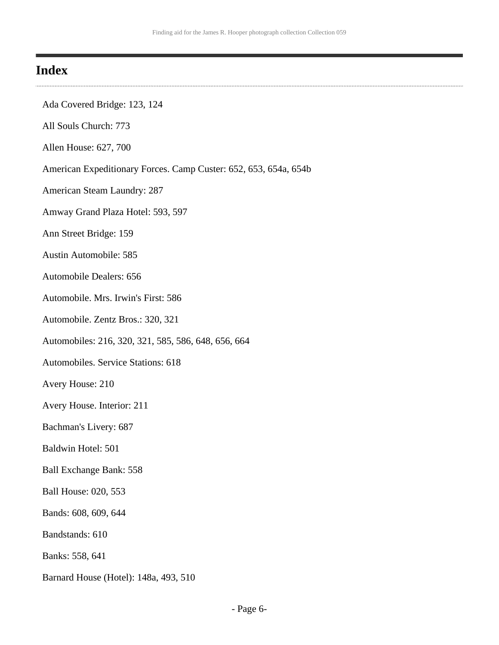### <span id="page-5-0"></span>**Index**

- Ada Covered Bridge: 123, 124
- All Souls Church: 773
- Allen House: 627, 700
- American Expeditionary Forces. Camp Custer: 652, 653, 654a, 654b
- American Steam Laundry: 287
- Amway Grand Plaza Hotel: 593, 597
- Ann Street Bridge: 159
- Austin Automobile: 585
- Automobile Dealers: 656
- Automobile. Mrs. Irwin's First: 586
- Automobile. Zentz Bros.: 320, 321
- Automobiles: 216, 320, 321, 585, 586, 648, 656, 664
- Automobiles. Service Stations: 618
- Avery House: 210
- Avery House. Interior: 211
- Bachman's Livery: 687
- Baldwin Hotel: 501
- Ball Exchange Bank: 558
- Ball House: 020, 553
- Bands: 608, 609, 644
- Bandstands: 610
- Banks: 558, 641
- Barnard House (Hotel): 148a, 493, 510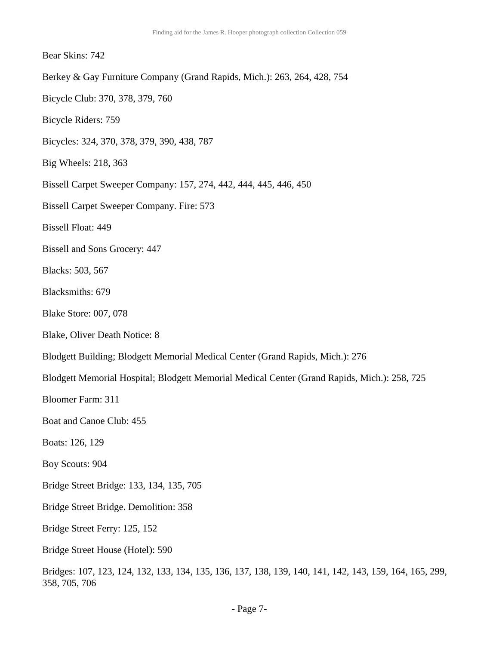### Bear Skins: 742

- Berkey & Gay Furniture Company (Grand Rapids, Mich.): 263, 264, 428, 754
- Bicycle Club: 370, 378, 379, 760
- Bicycle Riders: 759
- Bicycles: 324, 370, 378, 379, 390, 438, 787
- Big Wheels: 218, 363
- Bissell Carpet Sweeper Company: 157, 274, 442, 444, 445, 446, 450
- Bissell Carpet Sweeper Company. Fire: 573
- Bissell Float: 449
- Bissell and Sons Grocery: 447
- Blacks: 503, 567
- Blacksmiths: 679
- Blake Store: 007, 078
- Blake, Oliver Death Notice: 8
- Blodgett Building; Blodgett Memorial Medical Center (Grand Rapids, Mich.): 276
- Blodgett Memorial Hospital; Blodgett Memorial Medical Center (Grand Rapids, Mich.): 258, 725
- Bloomer Farm: 311
- Boat and Canoe Club: 455
- Boats: 126, 129
- Boy Scouts: 904
- Bridge Street Bridge: 133, 134, 135, 705
- Bridge Street Bridge. Demolition: 358
- Bridge Street Ferry: 125, 152
- Bridge Street House (Hotel): 590
- Bridges: 107, 123, 124, 132, 133, 134, 135, 136, 137, 138, 139, 140, 141, 142, 143, 159, 164, 165, 299, 358, 705, 706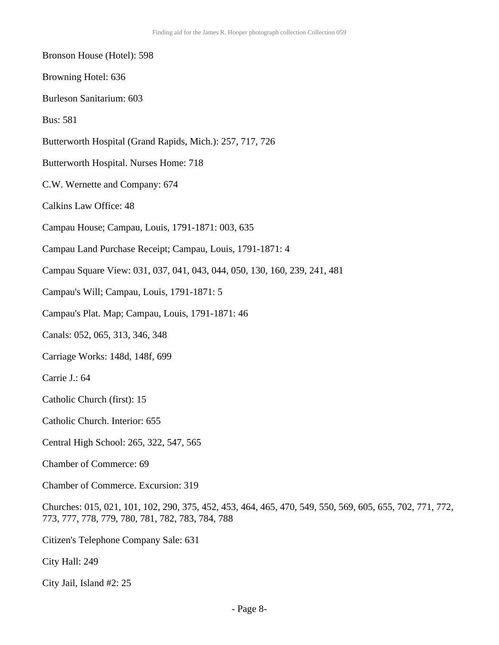- Bronson House (Hotel): 598
- Browning Hotel: 636
- Burleson Sanitarium: 603
- Bus: 581
- Butterworth Hospital (Grand Rapids, Mich.): 257, 717, 726
- Butterworth Hospital. Nurses Home: 718
- C.W. Wernette and Company: 674
- Calkins Law Office: 48
- Campau House; Campau, Louis, 1791-1871: 003, 635
- Campau Land Purchase Receipt; Campau, Louis, 1791-1871: 4
- Campau Square View: 031, 037, 041, 043, 044, 050, 130, 160, 239, 241, 481
- Campau's Will; Campau, Louis, 1791-1871: 5
- Campau's Plat. Map; Campau, Louis, 1791-1871: 46
- Canals: 052, 065, 313, 346, 348
- Carriage Works: 148d, 148f, 699
- Carrie J.: 64
- Catholic Church (first): 15
- Catholic Church. Interior: 655
- Central High School: 265, 322, 547, 565
- Chamber of Commerce: 69
- Chamber of Commerce. Excursion: 319
- Churches: 015, 021, 101, 102, 290, 375, 452, 453, 464, 465, 470, 549, 550, 569, 605, 655, 702, 771, 772, 773, 777, 778, 779, 780, 781, 782, 783, 784, 788
- Citizen's Telephone Company Sale: 631
- City Hall: 249
- City Jail, Island #2: 25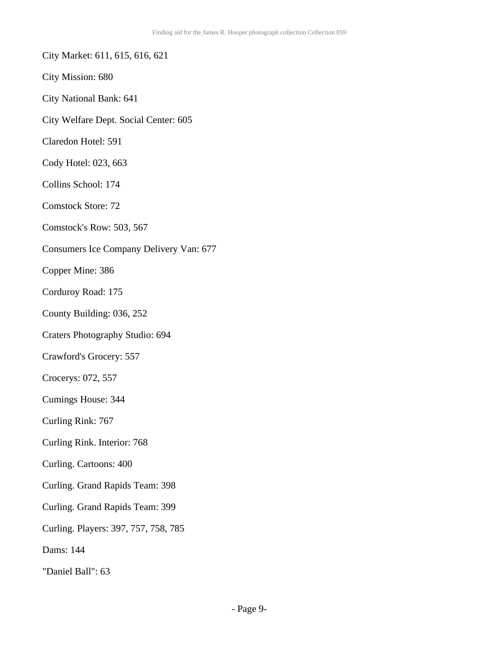- City Market: 611, 615, 616, 621
- City Mission: 680
- City National Bank: 641
- City Welfare Dept. Social Center: 605
- Claredon Hotel: 591
- Cody Hotel: 023, 663
- Collins School: 174
- Comstock Store: 72
- Comstock's Row: 503, 567
- Consumers Ice Company Delivery Van: 677
- Copper Mine: 386
- Corduroy Road: 175
- County Building: 036, 252
- Craters Photography Studio: 694
- Crawford's Grocery: 557
- Crocerys: 072, 557
- Cumings House: 344
- Curling Rink: 767
- Curling Rink. Interior: 768
- Curling. Cartoons: 400
- Curling. Grand Rapids Team: 398
- Curling. Grand Rapids Team: 399
- Curling. Players: 397, 757, 758, 785
- Dams: 144
- "Daniel Ball": 63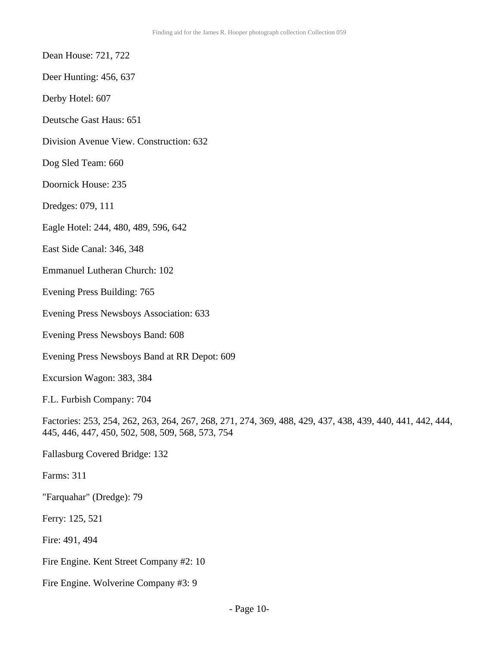- Dean House: 721, 722
- Deer Hunting: 456, 637
- Derby Hotel: 607
- Deutsche Gast Haus: 651
- Division Avenue View. Construction: 632
- Dog Sled Team: 660
- Doornick House: 235
- Dredges: 079, 111
- Eagle Hotel: 244, 480, 489, 596, 642
- East Side Canal: 346, 348
- Emmanuel Lutheran Church: 102
- Evening Press Building: 765
- Evening Press Newsboys Association: 633
- Evening Press Newsboys Band: 608
- Evening Press Newsboys Band at RR Depot: 609
- Excursion Wagon: 383, 384
- F.L. Furbish Company: 704
- Factories: 253, 254, 262, 263, 264, 267, 268, 271, 274, 369, 488, 429, 437, 438, 439, 440, 441, 442, 444, 445, 446, 447, 450, 502, 508, 509, 568, 573, 754
- Fallasburg Covered Bridge: 132
- Farms: 311
- "Farquahar" (Dredge): 79
- Ferry: 125, 521
- Fire: 491, 494
- Fire Engine. Kent Street Company #2: 10
- Fire Engine. Wolverine Company #3: 9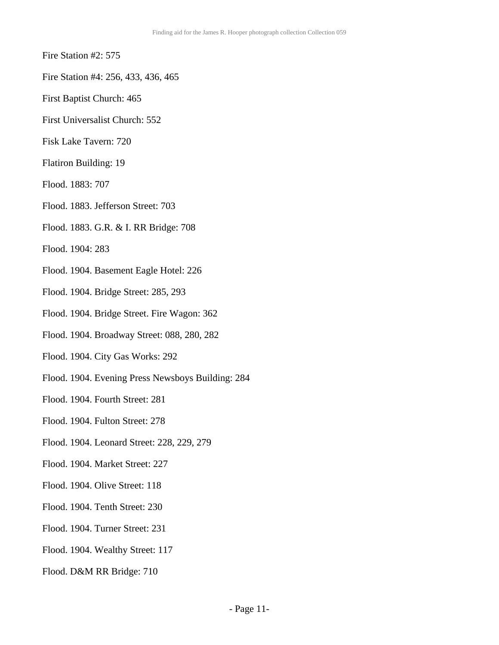- Fire Station #2: 575
- Fire Station #4: 256, 433, 436, 465
- First Baptist Church: 465
- First Universalist Church: 552
- Fisk Lake Tavern: 720
- Flatiron Building: 19
- Flood. 1883: 707
- Flood. 1883. Jefferson Street: 703
- Flood. 1883. G.R. & I. RR Bridge: 708
- Flood. 1904: 283
- Flood. 1904. Basement Eagle Hotel: 226
- Flood. 1904. Bridge Street: 285, 293
- Flood. 1904. Bridge Street. Fire Wagon: 362
- Flood. 1904. Broadway Street: 088, 280, 282
- Flood. 1904. City Gas Works: 292
- Flood. 1904. Evening Press Newsboys Building: 284
- Flood. 1904. Fourth Street: 281
- Flood. 1904. Fulton Street: 278
- Flood. 1904. Leonard Street: 228, 229, 279
- Flood. 1904. Market Street: 227
- Flood. 1904. Olive Street: 118
- Flood. 1904. Tenth Street: 230
- Flood. 1904. Turner Street: 231
- Flood. 1904. Wealthy Street: 117
- Flood. D&M RR Bridge: 710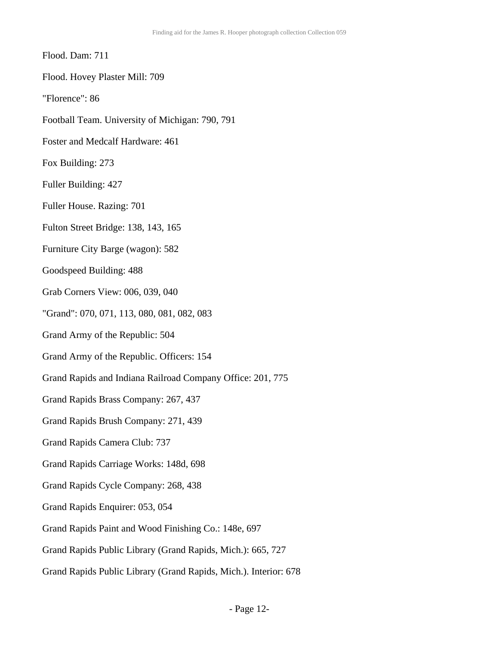- Flood. Dam: 711
- Flood. Hovey Plaster Mill: 709
- "Florence": 86
- Football Team. University of Michigan: 790, 791
- Foster and Medcalf Hardware: 461
- Fox Building: 273
- Fuller Building: 427
- Fuller House. Razing: 701
- Fulton Street Bridge: 138, 143, 165
- Furniture City Barge (wagon): 582
- Goodspeed Building: 488
- Grab Corners View: 006, 039, 040
- "Grand": 070, 071, 113, 080, 081, 082, 083
- Grand Army of the Republic: 504
- Grand Army of the Republic. Officers: 154
- Grand Rapids and Indiana Railroad Company Office: 201, 775
- Grand Rapids Brass Company: 267, 437
- Grand Rapids Brush Company: 271, 439
- Grand Rapids Camera Club: 737
- Grand Rapids Carriage Works: 148d, 698
- Grand Rapids Cycle Company: 268, 438
- Grand Rapids Enquirer: 053, 054
- Grand Rapids Paint and Wood Finishing Co.: 148e, 697
- Grand Rapids Public Library (Grand Rapids, Mich.): 665, 727
- Grand Rapids Public Library (Grand Rapids, Mich.). Interior: 678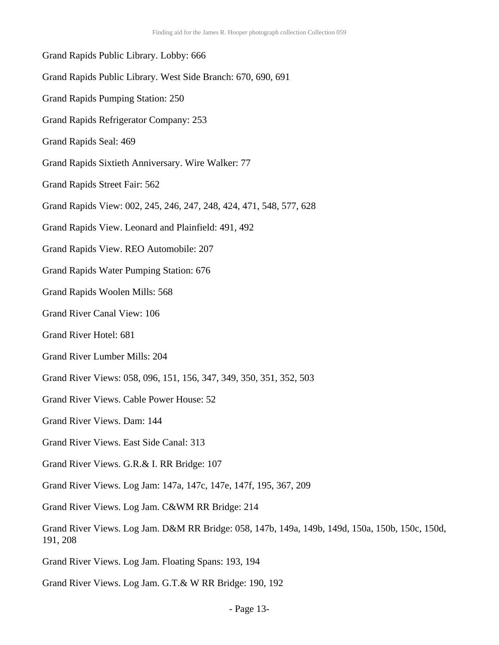Grand Rapids Public Library. Lobby: 666 Grand Rapids Public Library. West Side Branch: 670, 690, 691 Grand Rapids Pumping Station: 250 Grand Rapids Refrigerator Company: 253 Grand Rapids Seal: 469 Grand Rapids Sixtieth Anniversary. Wire Walker: 77 Grand Rapids Street Fair: 562 Grand Rapids View: 002, 245, 246, 247, 248, 424, 471, 548, 577, 628 Grand Rapids View. Leonard and Plainfield: 491, 492 Grand Rapids View. REO Automobile: 207 Grand Rapids Water Pumping Station: 676 Grand Rapids Woolen Mills: 568 Grand River Canal View: 106 Grand River Hotel: 681 Grand River Lumber Mills: 204 Grand River Views: 058, 096, 151, 156, 347, 349, 350, 351, 352, 503 Grand River Views. Cable Power House: 52 Grand River Views. Dam: 144 Grand River Views. East Side Canal: 313 Grand River Views. G.R.& I. RR Bridge: 107 Grand River Views. Log Jam: 147a, 147c, 147e, 147f, 195, 367, 209 Grand River Views. Log Jam. C&WM RR Bridge: 214 Grand River Views. Log Jam. D&M RR Bridge: 058, 147b, 149a, 149b, 149d, 150a, 150b, 150c, 150d, 191, 208 Grand River Views. Log Jam. Floating Spans: 193, 194

Grand River Views. Log Jam. G.T.& W RR Bridge: 190, 192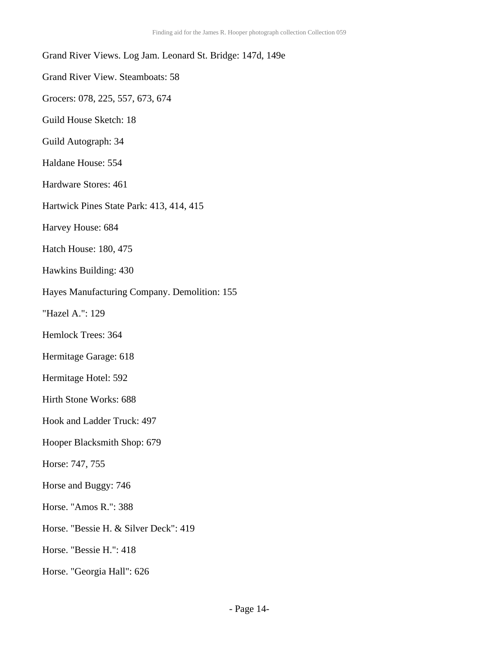| Grand River Views. Log Jam. Leonard St. Bridge: 147d, 149e |
|------------------------------------------------------------|
| <b>Grand River View. Steamboats: 58</b>                    |
| Grocers: 078, 225, 557, 673, 674                           |
| Guild House Sketch: 18                                     |
| Guild Autograph: 34                                        |
| Haldane House: 554                                         |
| Hardware Stores: 461                                       |
| Hartwick Pines State Park: 413, 414, 415                   |
| Harvey House: 684                                          |
| <b>Hatch House: 180, 475</b>                               |
| Hawkins Building: 430                                      |
| Hayes Manufacturing Company. Demolition: 155               |
| "Hazel A.": 129                                            |
| Hemlock Trees: 364                                         |
| Hermitage Garage: 618                                      |
| Hermitage Hotel: 592                                       |
| Hirth Stone Works: 688                                     |
| Hook and Ladder Truck: 497                                 |
| Hooper Blacksmith Shop: 679                                |
| Horse: 747, 755                                            |
| Horse and Buggy: 746                                       |
| Horse. "Amos R.": 388                                      |
| Horse. "Bessie H. & Silver Deck": 419                      |
| Horse. "Bessie H.": 418                                    |

Horse. "Georgia Hall": 626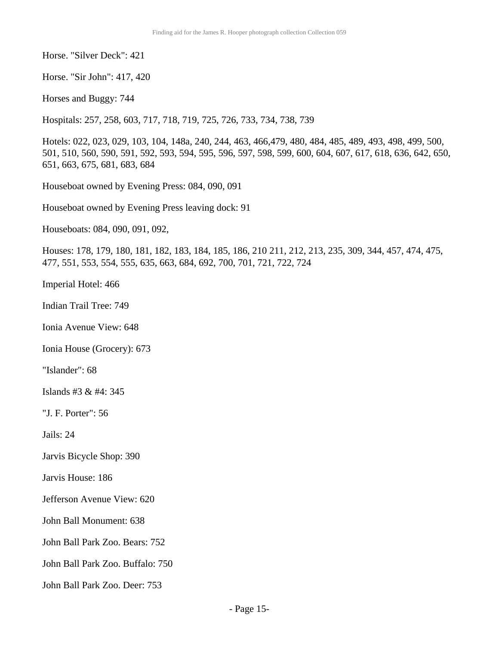Horse. "Silver Deck": 421

Horse. "Sir John": 417, 420

Horses and Buggy: 744

Hospitals: 257, 258, 603, 717, 718, 719, 725, 726, 733, 734, 738, 739

Hotels: 022, 023, 029, 103, 104, 148a, 240, 244, 463, 466,479, 480, 484, 485, 489, 493, 498, 499, 500, 501, 510, 560, 590, 591, 592, 593, 594, 595, 596, 597, 598, 599, 600, 604, 607, 617, 618, 636, 642, 650, 651, 663, 675, 681, 683, 684

Houseboat owned by Evening Press: 084, 090, 091

Houseboat owned by Evening Press leaving dock: 91

Houseboats: 084, 090, 091, 092,

Houses: 178, 179, 180, 181, 182, 183, 184, 185, 186, 210 211, 212, 213, 235, 309, 344, 457, 474, 475, 477, 551, 553, 554, 555, 635, 663, 684, 692, 700, 701, 721, 722, 724

Imperial Hotel: 466

Indian Trail Tree: 749

Ionia Avenue View: 648

Ionia House (Grocery): 673

"Islander": 68

Islands #3 & #4: 345

"J. F. Porter": 56

Jails: 24

Jarvis Bicycle Shop: 390

Jarvis House: 186

Jefferson Avenue View: 620

John Ball Monument: 638

John Ball Park Zoo. Bears: 752

John Ball Park Zoo. Buffalo: 750

John Ball Park Zoo. Deer: 753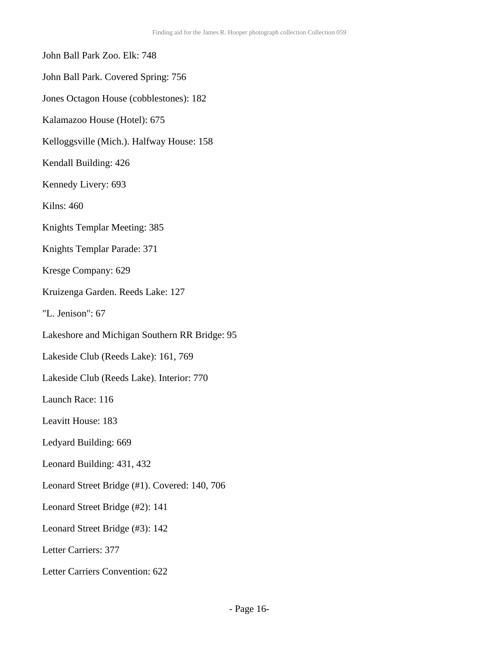- John Ball Park Zoo. Elk: 748
- John Ball Park. Covered Spring: 756
- Jones Octagon House (cobblestones): 182
- Kalamazoo House (Hotel): 675
- Kelloggsville (Mich.). Halfway House: 158
- Kendall Building: 426
- Kennedy Livery: 693
- Kilns: 460
- Knights Templar Meeting: 385
- Knights Templar Parade: 371
- Kresge Company: 629
- Kruizenga Garden. Reeds Lake: 127
- "L. Jenison": 67
- Lakeshore and Michigan Southern RR Bridge: 95
- Lakeside Club (Reeds Lake): 161, 769
- Lakeside Club (Reeds Lake). Interior: 770
- Launch Race: 116
- Leavitt House: 183
- Ledyard Building: 669
- Leonard Building: 431, 432
- Leonard Street Bridge (#1). Covered: 140, 706
- Leonard Street Bridge (#2): 141
- Leonard Street Bridge (#3): 142
- Letter Carriers: 377
- Letter Carriers Convention: 622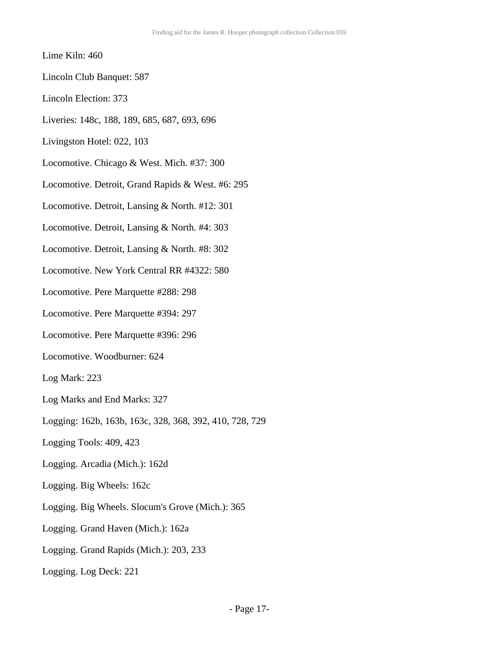### Lime Kiln: 460

- Lincoln Club Banquet: 587
- Lincoln Election: 373
- Liveries: 148c, 188, 189, 685, 687, 693, 696
- Livingston Hotel: 022, 103
- Locomotive. Chicago & West. Mich. #37: 300
- Locomotive. Detroit, Grand Rapids & West. #6: 295
- Locomotive. Detroit, Lansing & North. #12: 301
- Locomotive. Detroit, Lansing & North. #4: 303
- Locomotive. Detroit, Lansing & North. #8: 302
- Locomotive. New York Central RR #4322: 580
- Locomotive. Pere Marquette #288: 298
- Locomotive. Pere Marquette #394: 297
- Locomotive. Pere Marquette #396: 296
- Locomotive. Woodburner: 624
- Log Mark: 223
- Log Marks and End Marks: 327
- Logging: 162b, 163b, 163c, 328, 368, 392, 410, 728, 729
- Logging Tools: 409, 423
- Logging. Arcadia (Mich.): 162d
- Logging. Big Wheels: 162c
- Logging. Big Wheels. Slocum's Grove (Mich.): 365
- Logging. Grand Haven (Mich.): 162a
- Logging. Grand Rapids (Mich.): 203, 233
- Logging. Log Deck: 221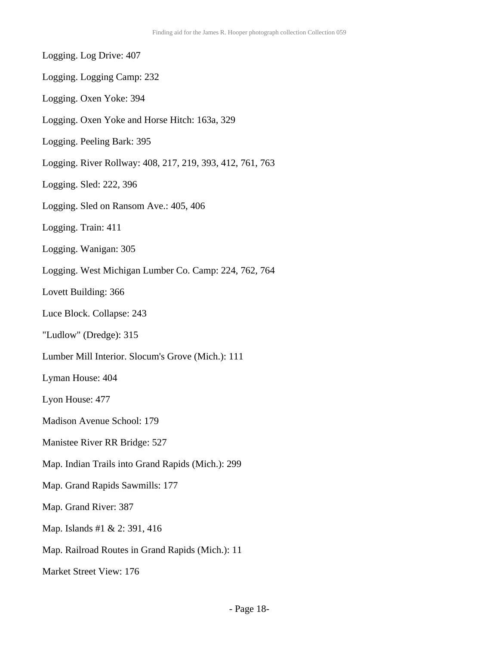Logging. Log Drive: 407 Logging. Logging Camp: 232 Logging. Oxen Yoke: 394 Logging. Oxen Yoke and Horse Hitch: 163a, 329 Logging. Peeling Bark: 395 Logging. River Rollway: 408, 217, 219, 393, 412, 761, 763 Logging. Sled: 222, 396 Logging. Sled on Ransom Ave.: 405, 406 Logging. Train: 411 Logging. Wanigan: 305 Logging. West Michigan Lumber Co. Camp: 224, 762, 764 Lovett Building: 366 Luce Block. Collapse: 243 "Ludlow" (Dredge): 315 Lumber Mill Interior. Slocum's Grove (Mich.): 111 Lyman House: 404 Lyon House: 477 Madison Avenue School: 179 Manistee River RR Bridge: 527 Map. Indian Trails into Grand Rapids (Mich.): 299 Map. Grand Rapids Sawmills: 177 Map. Grand River: 387 Map. Islands #1 & 2: 391, 416 Map. Railroad Routes in Grand Rapids (Mich.): 11 Market Street View: 176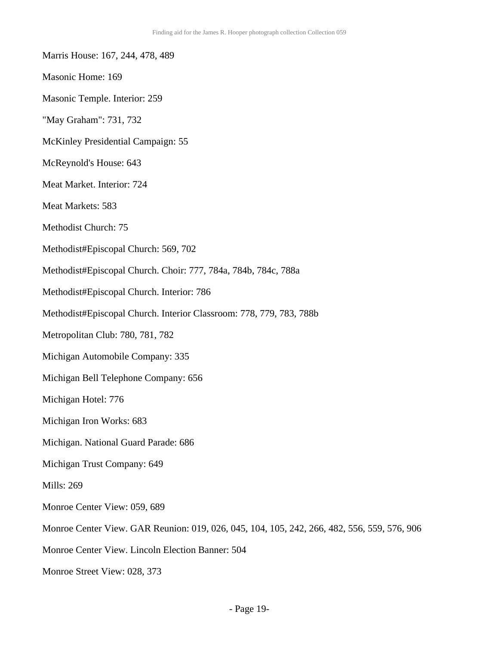- Marris House: 167, 244, 478, 489
- Masonic Home: 169
- Masonic Temple. Interior: 259
- "May Graham": 731, 732
- McKinley Presidential Campaign: 55
- McReynold's House: 643
- Meat Market. Interior: 724
- Meat Markets: 583
- Methodist Church: 75
- Methodist#Episcopal Church: 569, 702
- Methodist#Episcopal Church. Choir: 777, 784a, 784b, 784c, 788a
- Methodist#Episcopal Church. Interior: 786
- Methodist#Episcopal Church. Interior Classroom: 778, 779, 783, 788b
- Metropolitan Club: 780, 781, 782
- Michigan Automobile Company: 335
- Michigan Bell Telephone Company: 656
- Michigan Hotel: 776
- Michigan Iron Works: 683
- Michigan. National Guard Parade: 686
- Michigan Trust Company: 649
- Mills: 269
- Monroe Center View: 059, 689
- Monroe Center View. GAR Reunion: 019, 026, 045, 104, 105, 242, 266, 482, 556, 559, 576, 906
- Monroe Center View. Lincoln Election Banner: 504
- Monroe Street View: 028, 373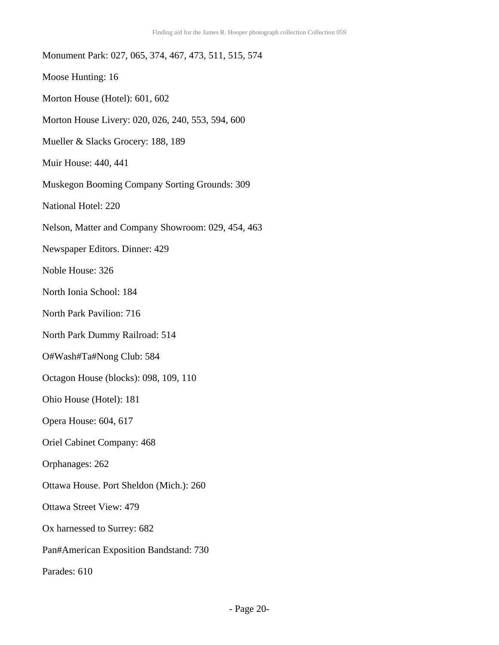Monument Park: 027, 065, 374, 467, 473, 511, 515, 574 Moose Hunting: 16 Morton House (Hotel): 601, 602 Morton House Livery: 020, 026, 240, 553, 594, 600 Mueller & Slacks Grocery: 188, 189 Muir House: 440, 441 Muskegon Booming Company Sorting Grounds: 309 National Hotel: 220 Nelson, Matter and Company Showroom: 029, 454, 463 Newspaper Editors. Dinner: 429 Noble House: 326 North Ionia School: 184 North Park Pavilion: 716 North Park Dummy Railroad: 514 O#Wash#Ta#Nong Club: 584 Octagon House (blocks): 098, 109, 110 Ohio House (Hotel): 181 Opera House: 604, 617 Oriel Cabinet Company: 468 Orphanages: 262 Ottawa House. Port Sheldon (Mich.): 260 Ottawa Street View: 479 Ox harnessed to Surrey: 682 Pan#American Exposition Bandstand: 730 Parades: 610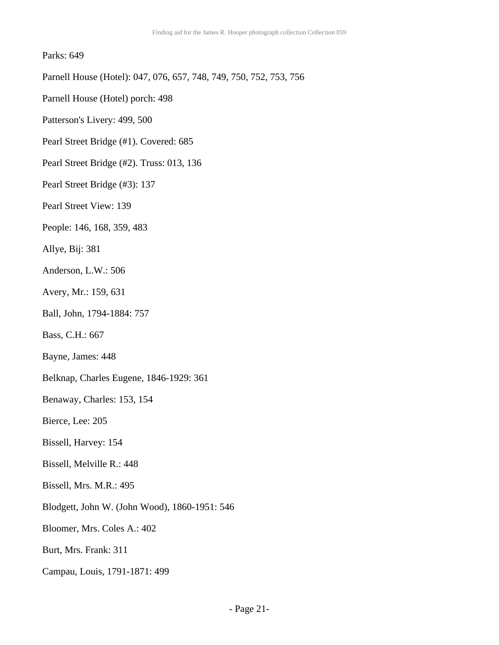### Parks: 649

Parnell House (Hotel): 047, 076, 657, 748, 749, 750, 752, 753, 756

- Parnell House (Hotel) porch: 498
- Patterson's Livery: 499, 500
- Pearl Street Bridge (#1). Covered: 685
- Pearl Street Bridge (#2). Truss: 013, 136
- Pearl Street Bridge (#3): 137
- Pearl Street View: 139
- People: 146, 168, 359, 483
- Allye, Bij: 381
- Anderson, L.W.: 506
- Avery, Mr.: 159, 631
- Ball, John, 1794-1884: 757
- Bass, C.H.: 667
- Bayne, James: 448
- Belknap, Charles Eugene, 1846-1929: 361
- Benaway, Charles: 153, 154
- Bierce, Lee: 205
- Bissell, Harvey: 154
- Bissell, Melville R.: 448
- Bissell, Mrs. M.R.: 495
- Blodgett, John W. (John Wood), 1860-1951: 546
- Bloomer, Mrs. Coles A.: 402
- Burt, Mrs. Frank: 311
- Campau, Louis, 1791-1871: 499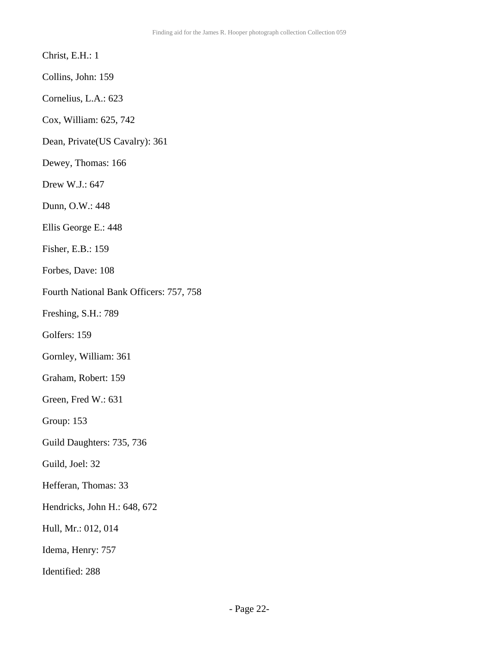### Christ, E.H.: 1

- Collins, John: 159
- Cornelius, L.A.: 623
- Cox, William: 625, 742
- Dean, Private(US Cavalry): 361
- Dewey, Thomas: 166
- Drew W.J.: 647
- Dunn, O.W.: 448
- Ellis George E.: 448
- Fisher, E.B.: 159
- Forbes, Dave: 108
- Fourth National Bank Officers: 757, 758
- Freshing, S.H.: 789
- Golfers: 159
- Gornley, William: 361
- Graham, Robert: 159
- Green, Fred W.: 631
- Group: 153
- Guild Daughters: 735, 736
- Guild, Joel: 32
- Hefferan, Thomas: 33
- Hendricks, John H.: 648, 672
- Hull, Mr.: 012, 014
- Idema, Henry: 757
- Identified: 288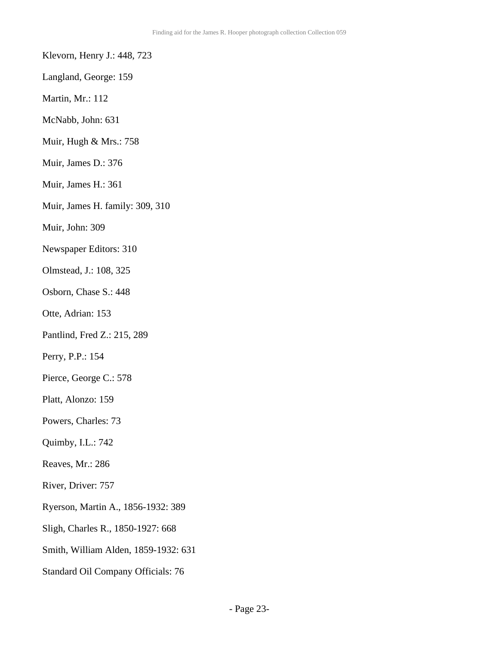- Klevorn, Henry J.: 448, 723
- Langland, George: 159
- Martin, Mr.: 112
- McNabb, John: 631
- Muir, Hugh & Mrs.: 758
- Muir, James D.: 376
- Muir, James H.: 361
- Muir, James H. family: 309, 310
- Muir, John: 309
- Newspaper Editors: 310
- Olmstead, J.: 108, 325
- Osborn, Chase S.: 448
- Otte, Adrian: 153
- Pantlind, Fred Z.: 215, 289
- Perry, P.P.: 154
- Pierce, George C.: 578
- Platt, Alonzo: 159
- Powers, Charles: 73
- Quimby, I.L.: 742
- Reaves, Mr.: 286
- River, Driver: 757
- Ryerson, Martin A., 1856-1932: 389
- Sligh, Charles R., 1850-1927: 668
- Smith, William Alden, 1859-1932: 631
- Standard Oil Company Officials: 76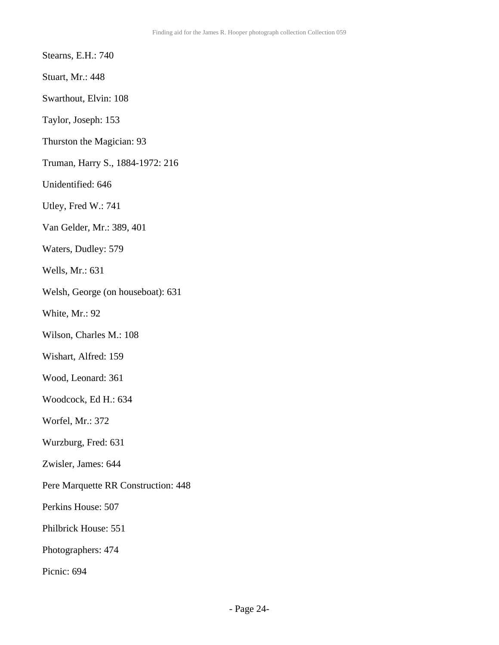Stearns, E.H.: 740

Stuart, Mr.: 448

Swarthout, Elvin: 108

Taylor, Joseph: 153

- Thurston the Magician: 93
- Truman, Harry S., 1884-1972: 216
- Unidentified: 646
- Utley, Fred W.: 741
- Van Gelder, Mr.: 389, 401
- Waters, Dudley: 579
- Wells, Mr.: 631
- Welsh, George (on houseboat): 631
- White, Mr.: 92
- Wilson, Charles M.: 108
- Wishart, Alfred: 159
- Wood, Leonard: 361
- Woodcock, Ed H.: 634
- Worfel, Mr.: 372
- Wurzburg, Fred: 631
- Zwisler, James: 644
- Pere Marquette RR Construction: 448
- Perkins House: 507
- Philbrick House: 551
- Photographers: 474
- Picnic: 694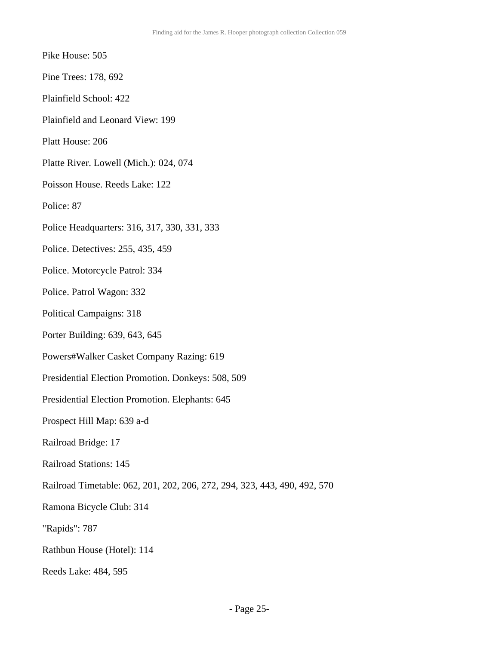- Pike House: 505
- Pine Trees: 178, 692
- Plainfield School: 422
- Plainfield and Leonard View: 199
- Platt House: 206
- Platte River. Lowell (Mich.): 024, 074
- Poisson House. Reeds Lake: 122
- Police: 87
- Police Headquarters: 316, 317, 330, 331, 333
- Police. Detectives: 255, 435, 459
- Police. Motorcycle Patrol: 334
- Police. Patrol Wagon: 332
- Political Campaigns: 318
- Porter Building: 639, 643, 645
- Powers#Walker Casket Company Razing: 619
- Presidential Election Promotion. Donkeys: 508, 509
- Presidential Election Promotion. Elephants: 645
- Prospect Hill Map: 639 a-d
- Railroad Bridge: 17
- Railroad Stations: 145
- Railroad Timetable: 062, 201, 202, 206, 272, 294, 323, 443, 490, 492, 570
- Ramona Bicycle Club: 314
- "Rapids": 787
- Rathbun House (Hotel): 114
- Reeds Lake: 484, 595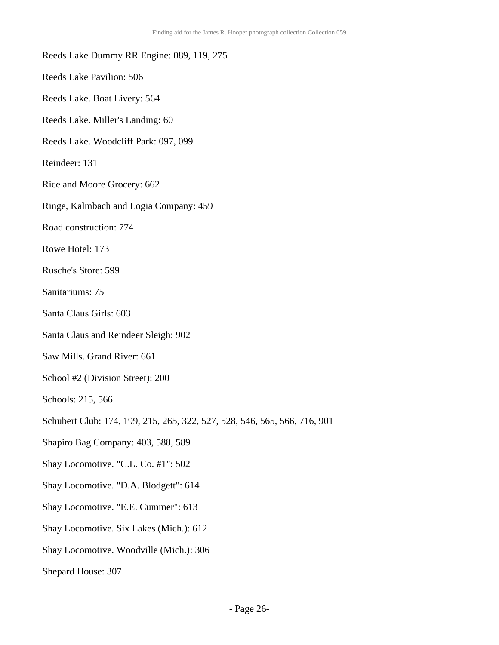- Reeds Lake Dummy RR Engine: 089, 119, 275
- Reeds Lake Pavilion: 506
- Reeds Lake. Boat Livery: 564
- Reeds Lake. Miller's Landing: 60
- Reeds Lake. Woodcliff Park: 097, 099
- Reindeer: 131
- Rice and Moore Grocery: 662
- Ringe, Kalmbach and Logia Company: 459
- Road construction: 774
- Rowe Hotel: 173
- Rusche's Store: 599
- Sanitariums: 75
- Santa Claus Girls: 603
- Santa Claus and Reindeer Sleigh: 902
- Saw Mills. Grand River: 661
- School #2 (Division Street): 200
- Schools: 215, 566
- Schubert Club: 174, 199, 215, 265, 322, 527, 528, 546, 565, 566, 716, 901
- Shapiro Bag Company: 403, 588, 589
- Shay Locomotive. "C.L. Co. #1": 502
- Shay Locomotive. "D.A. Blodgett": 614
- Shay Locomotive. "E.E. Cummer": 613
- Shay Locomotive. Six Lakes (Mich.): 612
- Shay Locomotive. Woodville (Mich.): 306
- Shepard House: 307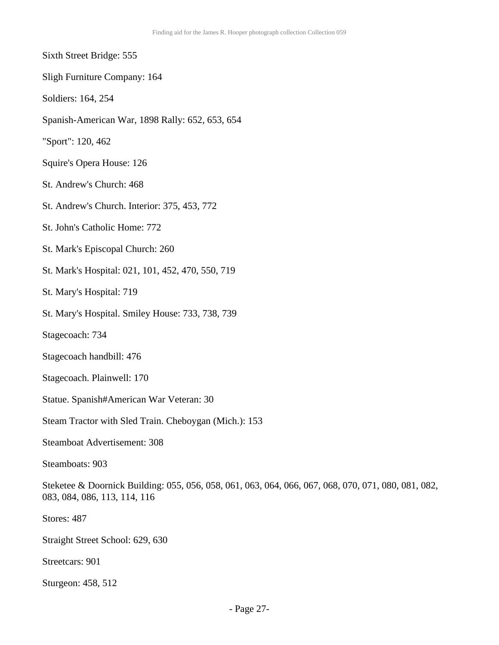- Sixth Street Bridge: 555
- Sligh Furniture Company: 164
- Soldiers: 164, 254
- Spanish-American War, 1898 Rally: 652, 653, 654
- "Sport": 120, 462
- Squire's Opera House: 126
- St. Andrew's Church: 468
- St. Andrew's Church. Interior: 375, 453, 772
- St. John's Catholic Home: 772
- St. Mark's Episcopal Church: 260
- St. Mark's Hospital: 021, 101, 452, 470, 550, 719
- St. Mary's Hospital: 719
- St. Mary's Hospital. Smiley House: 733, 738, 739
- Stagecoach: 734
- Stagecoach handbill: 476
- Stagecoach. Plainwell: 170
- Statue. Spanish#American War Veteran: 30
- Steam Tractor with Sled Train. Cheboygan (Mich.): 153
- Steamboat Advertisement: 308
- Steamboats: 903
- Steketee & Doornick Building: 055, 056, 058, 061, 063, 064, 066, 067, 068, 070, 071, 080, 081, 082, 083, 084, 086, 113, 114, 116
- Stores: 487
- Straight Street School: 629, 630
- Streetcars: 901
- Sturgeon: 458, 512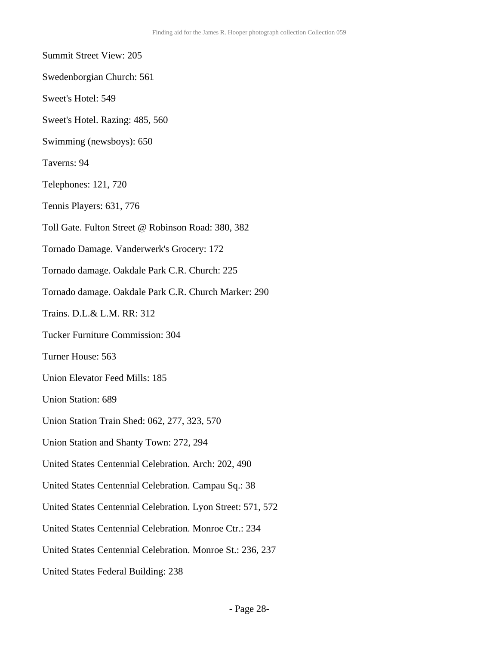- Summit Street View: 205 Swedenborgian Church: 561 Sweet's Hotel: 549 Sweet's Hotel. Razing: 485, 560 Swimming (newsboys): 650 Taverns: 94 Telephones: 121, 720 Tennis Players: 631, 776 Toll Gate. Fulton Street @ Robinson Road: 380, 382 Tornado Damage. Vanderwerk's Grocery: 172 Tornado damage. Oakdale Park C.R. Church: 225 Tornado damage. Oakdale Park C.R. Church Marker: 290 Trains. D.L.& L.M. RR: 312 Tucker Furniture Commission: 304 Turner House: 563 Union Elevator Feed Mills: 185 Union Station: 689 Union Station Train Shed: 062, 277, 323, 570 Union Station and Shanty Town: 272, 294 United States Centennial Celebration. Arch: 202, 490 United States Centennial Celebration. Campau Sq.: 38 United States Centennial Celebration. Lyon Street: 571, 572 United States Centennial Celebration. Monroe Ctr.: 234 United States Centennial Celebration. Monroe St.: 236, 237
	- United States Federal Building: 238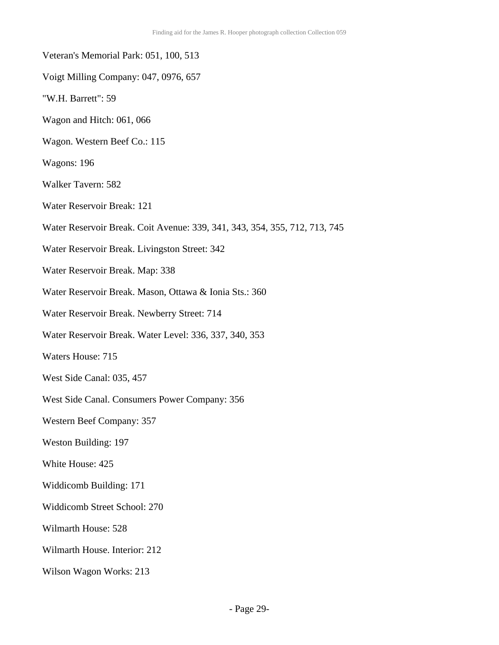| Veteran's Memorial Park: 051, 100, 513                                     |
|----------------------------------------------------------------------------|
| Voigt Milling Company: 047, 0976, 657                                      |
| "W.H. Barrett": 59                                                         |
| Wagon and Hitch: 061, 066                                                  |
| Wagon. Western Beef Co.: 115                                               |
| Wagons: 196                                                                |
| <b>Walker Tavern: 582</b>                                                  |
| Water Reservoir Break: 121                                                 |
| Water Reservoir Break. Coit Avenue: 339, 341, 343, 354, 355, 712, 713, 745 |
| Water Reservoir Break. Livingston Street: 342                              |
| Water Reservoir Break. Map: 338                                            |
| Water Reservoir Break. Mason, Ottawa & Ionia Sts.: 360                     |
| Water Reservoir Break. Newberry Street: 714                                |
| Water Reservoir Break. Water Level: 336, 337, 340, 353                     |
| <b>Waters House: 715</b>                                                   |
| West Side Canal: 035, 457                                                  |
| West Side Canal. Consumers Power Company: 356                              |
| Western Beef Company: 357                                                  |
| Weston Building: 197                                                       |
| White House: 425                                                           |
| Widdicomb Building: 171                                                    |
| Widdicomb Street School: 270                                               |
| Wilmarth House: 528                                                        |
| Wilmarth House. Interior: 212                                              |
| Wilson Wagon Works: 213                                                    |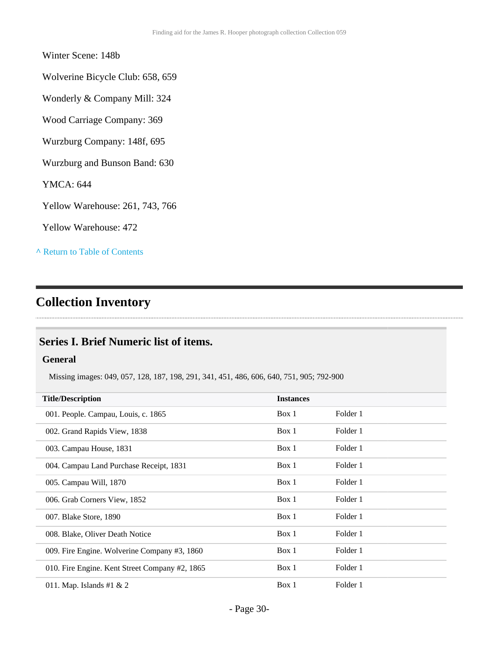### Winter Scene: 148b

Wolverine Bicycle Club: 658, 659

Wonderly & Company Mill: 324

Wood Carriage Company: 369

Wurzburg Company: 148f, 695

Wurzburg and Bunson Band: 630

YMCA: 644

Yellow Warehouse: 261, 743, 766

Yellow Warehouse: 472

**^** [Return to Table of Contents](#page-1-0)

# <span id="page-29-0"></span>**Collection Inventory**

### <span id="page-29-1"></span>**Series I. Brief Numeric list of items.**

### **General**

Missing images: 049, 057, 128, 187, 198, 291, 341, 451, 486, 606, 640, 751, 905; 792-900

| <b>Title/Description</b>                       | <b>Instances</b> |          |
|------------------------------------------------|------------------|----------|
| 001. People. Campau, Louis, c. 1865            | Box 1            | Folder 1 |
| 002. Grand Rapids View, 1838                   | Box 1            | Folder 1 |
| 003. Campau House, 1831                        | Box 1            | Folder 1 |
| 004. Campau Land Purchase Receipt, 1831        | Box 1            | Folder 1 |
| 005. Campau Will, 1870                         | Box 1            | Folder 1 |
| 006. Grab Corners View, 1852                   | Box 1            | Folder 1 |
| 007. Blake Store, 1890                         | Box 1            | Folder 1 |
| 008. Blake, Oliver Death Notice                | Box 1            | Folder 1 |
| 009. Fire Engine. Wolverine Company #3, 1860   | Box 1            | Folder 1 |
| 010. Fire Engine. Kent Street Company #2, 1865 | Box 1            | Folder 1 |
| 011. Map. Islands #1 $& 2$                     | Box 1            | Folder 1 |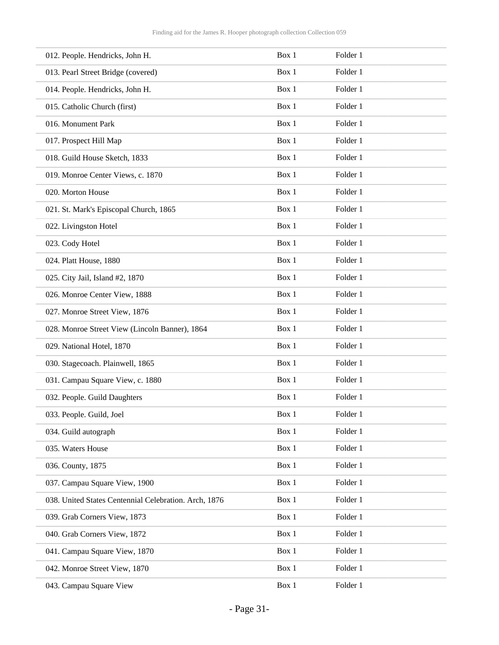| 012. People. Hendricks, John H.                       | Box 1 | Folder 1 |
|-------------------------------------------------------|-------|----------|
| 013. Pearl Street Bridge (covered)                    | Box 1 | Folder 1 |
| 014. People. Hendricks, John H.                       | Box 1 | Folder 1 |
| 015. Catholic Church (first)                          | Box 1 | Folder 1 |
| 016. Monument Park                                    | Box 1 | Folder 1 |
| 017. Prospect Hill Map                                | Box 1 | Folder 1 |
| 018. Guild House Sketch, 1833                         | Box 1 | Folder 1 |
| 019. Monroe Center Views, c. 1870                     | Box 1 | Folder 1 |
| 020. Morton House                                     | Box 1 | Folder 1 |
| 021. St. Mark's Episcopal Church, 1865                | Box 1 | Folder 1 |
| 022. Livingston Hotel                                 | Box 1 | Folder 1 |
| 023. Cody Hotel                                       | Box 1 | Folder 1 |
| 024. Platt House, 1880                                | Box 1 | Folder 1 |
| 025. City Jail, Island #2, 1870                       | Box 1 | Folder 1 |
| 026. Monroe Center View, 1888                         | Box 1 | Folder 1 |
| 027. Monroe Street View, 1876                         | Box 1 | Folder 1 |
| 028. Monroe Street View (Lincoln Banner), 1864        | Box 1 | Folder 1 |
| 029. National Hotel, 1870                             | Box 1 | Folder 1 |
| 030. Stagecoach. Plainwell, 1865                      | Box 1 | Folder 1 |
| 031. Campau Square View, c. 1880                      | Box 1 | Folder 1 |
| 032. People. Guild Daughters                          | Box 1 | Folder 1 |
| 033. People. Guild, Joel                              | Box 1 | Folder 1 |
| 034. Guild autograph                                  | Box 1 | Folder 1 |
| 035. Waters House                                     | Box 1 | Folder 1 |
| 036. County, 1875                                     | Box 1 | Folder 1 |
| 037. Campau Square View, 1900                         | Box 1 | Folder 1 |
| 038. United States Centennial Celebration. Arch, 1876 | Box 1 | Folder 1 |
| 039. Grab Corners View, 1873                          | Box 1 | Folder 1 |
| 040. Grab Corners View, 1872                          | Box 1 | Folder 1 |
| 041. Campau Square View, 1870                         | Box 1 | Folder 1 |
| 042. Monroe Street View, 1870                         | Box 1 | Folder 1 |
| 043. Campau Square View                               | Box 1 | Folder 1 |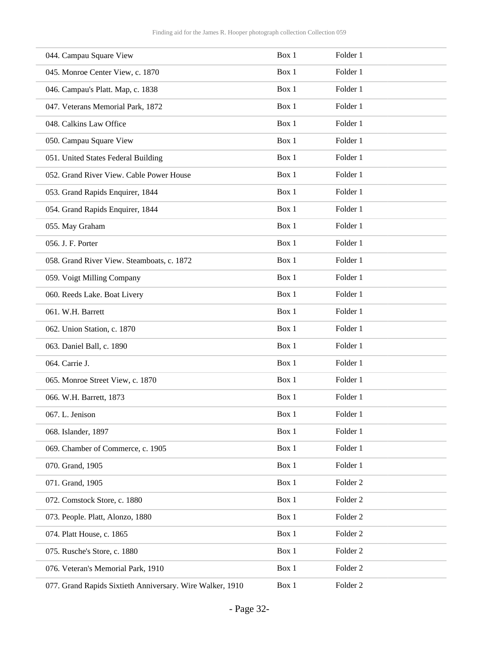| 044. Campau Square View                                   | Box 1 | Folder 1            |
|-----------------------------------------------------------|-------|---------------------|
| 045. Monroe Center View, c. 1870                          | Box 1 | Folder 1            |
| 046. Campau's Platt. Map, c. 1838                         | Box 1 | Folder 1            |
| 047. Veterans Memorial Park, 1872                         | Box 1 | Folder 1            |
| 048. Calkins Law Office                                   | Box 1 | Folder 1            |
| 050. Campau Square View                                   | Box 1 | Folder 1            |
| 051. United States Federal Building                       | Box 1 | Folder 1            |
| 052. Grand River View. Cable Power House                  | Box 1 | Folder 1            |
| 053. Grand Rapids Enquirer, 1844                          | Box 1 | Folder 1            |
| 054. Grand Rapids Enquirer, 1844                          | Box 1 | Folder 1            |
| 055. May Graham                                           | Box 1 | Folder 1            |
| 056. J. F. Porter                                         | Box 1 | Folder 1            |
| 058. Grand River View. Steamboats, c. 1872                | Box 1 | Folder 1            |
| 059. Voigt Milling Company                                | Box 1 | Folder 1            |
| 060. Reeds Lake. Boat Livery                              | Box 1 | Folder 1            |
| 061. W.H. Barrett                                         | Box 1 | Folder 1            |
| 062. Union Station, c. 1870                               | Box 1 | Folder 1            |
| 063. Daniel Ball, c. 1890                                 | Box 1 | Folder 1            |
| 064. Carrie J.                                            | Box 1 | Folder 1            |
| 065. Monroe Street View, c. 1870                          | Box 1 | Folder 1            |
| 066. W.H. Barrett, 1873                                   | Box 1 | Folder 1            |
| 067. L. Jenison                                           | Box 1 | Folder 1            |
| 068. Islander, 1897                                       | Box 1 | Folder 1            |
| 069. Chamber of Commerce, c. 1905                         | Box 1 | Folder 1            |
| 070. Grand, 1905                                          | Box 1 | Folder 1            |
| 071. Grand, 1905                                          | Box 1 | Folder <sub>2</sub> |
| 072. Comstock Store, c. 1880                              | Box 1 | Folder <sub>2</sub> |
| 073. People. Platt, Alonzo, 1880                          | Box 1 | Folder <sub>2</sub> |
| 074. Platt House, c. 1865                                 | Box 1 | Folder <sub>2</sub> |
| 075. Rusche's Store, c. 1880                              | Box 1 | Folder <sub>2</sub> |
| 076. Veteran's Memorial Park, 1910                        | Box 1 | Folder <sub>2</sub> |
| 077. Grand Rapids Sixtieth Anniversary. Wire Walker, 1910 | Box 1 | Folder <sub>2</sub> |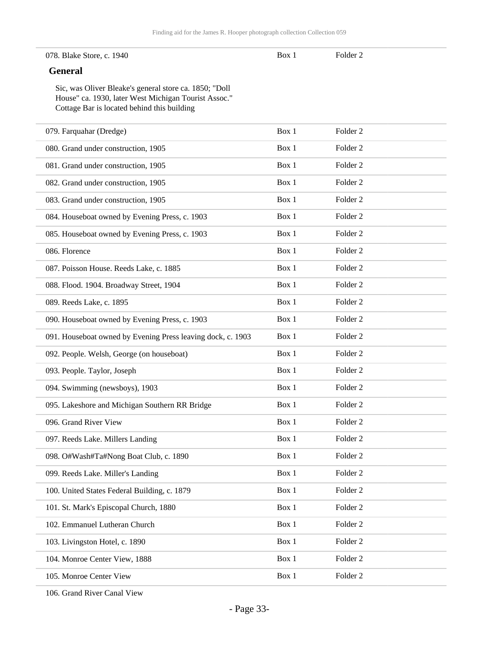#### 078. Blake Store, c. 1940

Box 1 Folder 2

### **General**

Sic, was Oliver Bleake's general store ca. 1850; "Doll House" ca. 1930, later West Michigan Tourist Assoc." Cottage Bar is located behind this building

| 079. Farquahar (Dredge)                                     | Box 1 | Folder <sub>2</sub> |
|-------------------------------------------------------------|-------|---------------------|
| 080. Grand under construction, 1905                         | Box 1 | Folder <sub>2</sub> |
| 081. Grand under construction, 1905                         | Box 1 | Folder <sub>2</sub> |
| 082. Grand under construction, 1905                         | Box 1 | Folder <sub>2</sub> |
| 083. Grand under construction, 1905                         | Box 1 | Folder <sub>2</sub> |
| 084. Houseboat owned by Evening Press, c. 1903              | Box 1 | Folder <sub>2</sub> |
| 085. Houseboat owned by Evening Press, c. 1903              | Box 1 | Folder <sub>2</sub> |
| 086. Florence                                               | Box 1 | Folder <sub>2</sub> |
| 087. Poisson House. Reeds Lake, c. 1885                     | Box 1 | Folder <sub>2</sub> |
| 088. Flood. 1904. Broadway Street, 1904                     | Box 1 | Folder <sub>2</sub> |
| 089. Reeds Lake, c. 1895                                    | Box 1 | Folder <sub>2</sub> |
| 090. Houseboat owned by Evening Press, c. 1903              | Box 1 | Folder <sub>2</sub> |
| 091. Houseboat owned by Evening Press leaving dock, c. 1903 | Box 1 | Folder <sub>2</sub> |
| 092. People. Welsh, George (on houseboat)                   | Box 1 | Folder <sub>2</sub> |
| 093. People. Taylor, Joseph                                 | Box 1 | Folder <sub>2</sub> |
| 094. Swimming (newsboys), 1903                              | Box 1 | Folder <sub>2</sub> |
| 095. Lakeshore and Michigan Southern RR Bridge              | Box 1 | Folder <sub>2</sub> |
| 096. Grand River View                                       | Box 1 | Folder <sub>2</sub> |
| 097. Reeds Lake. Millers Landing                            | Box 1 | Folder <sub>2</sub> |
| 098. O#Wash#Ta#Nong Boat Club, c. 1890                      | Box 1 | Folder <sub>2</sub> |
| 099. Reeds Lake. Miller's Landing                           | Box 1 | Folder <sub>2</sub> |
| 100. United States Federal Building, c. 1879                | Box 1 | Folder <sub>2</sub> |
| 101. St. Mark's Episcopal Church, 1880                      | Box 1 | Folder <sub>2</sub> |
| 102. Emmanuel Lutheran Church                               | Box 1 | Folder <sub>2</sub> |
| 103. Livingston Hotel, c. 1890                              | Box 1 | Folder <sub>2</sub> |
| 104. Monroe Center View, 1888                               | Box 1 | Folder <sub>2</sub> |
| 105. Monroe Center View                                     | Box 1 | Folder <sub>2</sub> |
|                                                             |       |                     |

106. Grand River Canal View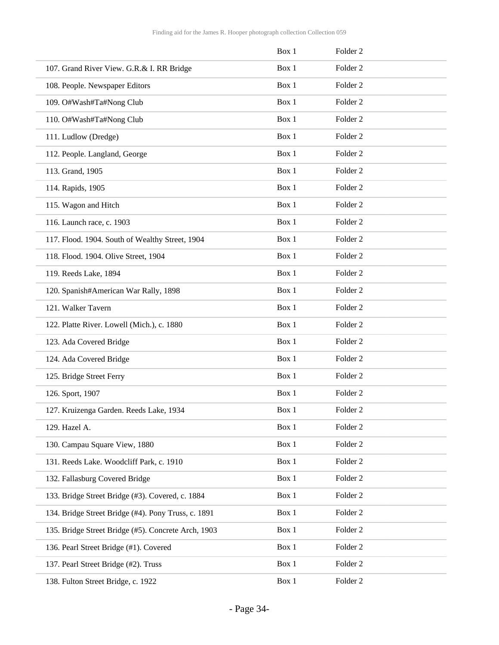|                                                     | Box 1 | Folder <sub>2</sub> |
|-----------------------------------------------------|-------|---------------------|
| 107. Grand River View. G.R.& I. RR Bridge           | Box 1 | Folder <sub>2</sub> |
| 108. People. Newspaper Editors                      | Box 1 | Folder <sub>2</sub> |
| 109. O#Wash#Ta#Nong Club                            | Box 1 | Folder <sub>2</sub> |
| 110. O#Wash#Ta#Nong Club                            | Box 1 | Folder <sub>2</sub> |
| 111. Ludlow (Dredge)                                | Box 1 | Folder <sub>2</sub> |
| 112. People. Langland, George                       | Box 1 | Folder <sub>2</sub> |
| 113. Grand, 1905                                    | Box 1 | Folder <sub>2</sub> |
| 114. Rapids, 1905                                   | Box 1 | Folder <sub>2</sub> |
| 115. Wagon and Hitch                                | Box 1 | Folder <sub>2</sub> |
| 116. Launch race, c. 1903                           | Box 1 | Folder <sub>2</sub> |
| 117. Flood. 1904. South of Wealthy Street, 1904     | Box 1 | Folder <sub>2</sub> |
| 118. Flood. 1904. Olive Street, 1904                | Box 1 | Folder <sub>2</sub> |
| 119. Reeds Lake, 1894                               | Box 1 | Folder <sub>2</sub> |
| 120. Spanish#American War Rally, 1898               | Box 1 | Folder <sub>2</sub> |
| 121. Walker Tavern                                  | Box 1 | Folder <sub>2</sub> |
| 122. Platte River. Lowell (Mich.), c. 1880          | Box 1 | Folder <sub>2</sub> |
| 123. Ada Covered Bridge                             | Box 1 | Folder <sub>2</sub> |
| 124. Ada Covered Bridge                             | Box 1 | Folder <sub>2</sub> |
| 125. Bridge Street Ferry                            | Box 1 | Folder <sub>2</sub> |
| 126. Sport, 1907                                    | Box 1 | Folder <sub>2</sub> |
| 127. Kruizenga Garden. Reeds Lake, 1934             | Box 1 | Folder <sub>2</sub> |
| 129. Hazel A.                                       | Box 1 | Folder <sub>2</sub> |
| 130. Campau Square View, 1880                       | Box 1 | Folder <sub>2</sub> |
| 131. Reeds Lake. Woodcliff Park, c. 1910            | Box 1 | Folder <sub>2</sub> |
| 132. Fallasburg Covered Bridge                      | Box 1 | Folder <sub>2</sub> |
| 133. Bridge Street Bridge (#3). Covered, c. 1884    | Box 1 | Folder <sub>2</sub> |
| 134. Bridge Street Bridge (#4). Pony Truss, c. 1891 | Box 1 | Folder <sub>2</sub> |
| 135. Bridge Street Bridge (#5). Concrete Arch, 1903 | Box 1 | Folder <sub>2</sub> |
| 136. Pearl Street Bridge (#1). Covered              | Box 1 | Folder <sub>2</sub> |
| 137. Pearl Street Bridge (#2). Truss                | Box 1 | Folder <sub>2</sub> |
| 138. Fulton Street Bridge, c. 1922                  | Box 1 | Folder <sub>2</sub> |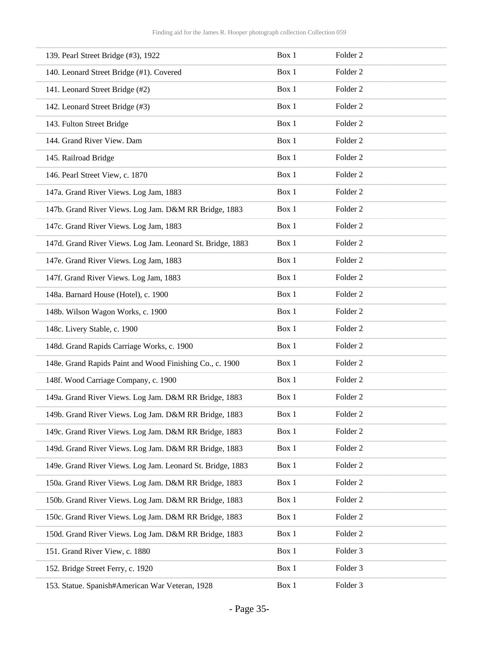| 139. Pearl Street Bridge (#3), 1922                        | Box 1 | Folder <sub>2</sub> |
|------------------------------------------------------------|-------|---------------------|
| 140. Leonard Street Bridge (#1). Covered                   | Box 1 | Folder <sub>2</sub> |
| 141. Leonard Street Bridge (#2)                            | Box 1 | Folder <sub>2</sub> |
| 142. Leonard Street Bridge (#3)                            | Box 1 | Folder <sub>2</sub> |
| 143. Fulton Street Bridge                                  | Box 1 | Folder <sub>2</sub> |
| 144. Grand River View. Dam                                 | Box 1 | Folder <sub>2</sub> |
| 145. Railroad Bridge                                       | Box 1 | Folder <sub>2</sub> |
| 146. Pearl Street View, c. 1870                            | Box 1 | Folder <sub>2</sub> |
| 147a. Grand River Views. Log Jam, 1883                     | Box 1 | Folder <sub>2</sub> |
| 147b. Grand River Views. Log Jam. D&M RR Bridge, 1883      | Box 1 | Folder <sub>2</sub> |
| 147c. Grand River Views. Log Jam, 1883                     | Box 1 | Folder <sub>2</sub> |
| 147d. Grand River Views. Log Jam. Leonard St. Bridge, 1883 | Box 1 | Folder <sub>2</sub> |
| 147e. Grand River Views. Log Jam, 1883                     | Box 1 | Folder <sub>2</sub> |
| 147f. Grand River Views. Log Jam, 1883                     | Box 1 | Folder <sub>2</sub> |
| 148a. Barnard House (Hotel), c. 1900                       | Box 1 | Folder <sub>2</sub> |
| 148b. Wilson Wagon Works, c. 1900                          | Box 1 | Folder <sub>2</sub> |
| 148c. Livery Stable, c. 1900                               | Box 1 | Folder <sub>2</sub> |
| 148d. Grand Rapids Carriage Works, c. 1900                 | Box 1 | Folder <sub>2</sub> |
| 148e. Grand Rapids Paint and Wood Finishing Co., c. 1900   | Box 1 | Folder <sub>2</sub> |
| 148f. Wood Carriage Company, c. 1900                       | Box 1 | Folder <sub>2</sub> |
| 149a. Grand River Views. Log Jam. D&M RR Bridge, 1883      | Box 1 | Folder <sub>2</sub> |
| 149b. Grand River Views. Log Jam. D&M RR Bridge, 1883      | Box 1 | Folder <sub>2</sub> |
| 149c. Grand River Views. Log Jam. D&M RR Bridge, 1883      | Box 1 | Folder <sub>2</sub> |
| 149d. Grand River Views. Log Jam. D&M RR Bridge, 1883      | Box 1 | Folder <sub>2</sub> |
| 149e. Grand River Views. Log Jam. Leonard St. Bridge, 1883 | Box 1 | Folder <sub>2</sub> |
| 150a. Grand River Views. Log Jam. D&M RR Bridge, 1883      | Box 1 | Folder <sub>2</sub> |
| 150b. Grand River Views. Log Jam. D&M RR Bridge, 1883      | Box 1 | Folder <sub>2</sub> |
| 150c. Grand River Views. Log Jam. D&M RR Bridge, 1883      | Box 1 | Folder <sub>2</sub> |
| 150d. Grand River Views. Log Jam. D&M RR Bridge, 1883      | Box 1 | Folder <sub>2</sub> |
| 151. Grand River View, c. 1880                             | Box 1 | Folder 3            |
| 152. Bridge Street Ferry, c. 1920                          | Box 1 | Folder 3            |
| 153. Statue. Spanish#American War Veteran, 1928            | Box 1 | Folder 3            |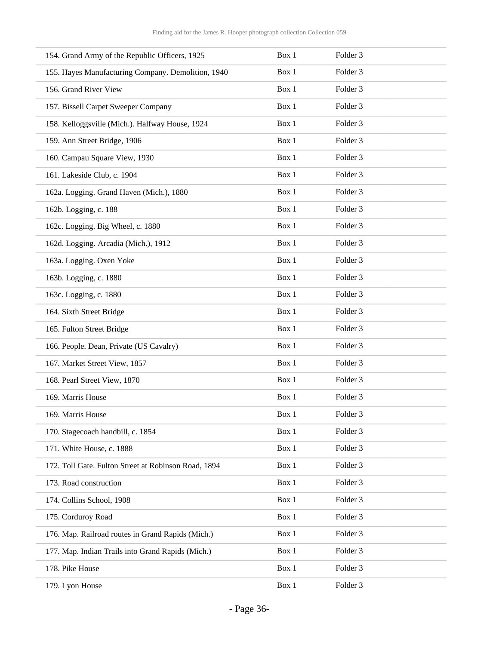| 154. Grand Army of the Republic Officers, 1925       | Box 1 | Folder <sub>3</sub> |
|------------------------------------------------------|-------|---------------------|
| 155. Hayes Manufacturing Company. Demolition, 1940   | Box 1 | Folder <sub>3</sub> |
| 156. Grand River View                                | Box 1 | Folder <sub>3</sub> |
| 157. Bissell Carpet Sweeper Company                  | Box 1 | Folder 3            |
| 158. Kelloggsville (Mich.). Halfway House, 1924      | Box 1 | Folder <sub>3</sub> |
| 159. Ann Street Bridge, 1906                         | Box 1 | Folder <sub>3</sub> |
| 160. Campau Square View, 1930                        | Box 1 | Folder <sub>3</sub> |
| 161. Lakeside Club, c. 1904                          | Box 1 | Folder <sub>3</sub> |
| 162a. Logging. Grand Haven (Mich.), 1880             | Box 1 | Folder <sub>3</sub> |
| 162b. Logging, c. 188                                | Box 1 | Folder <sub>3</sub> |
| 162c. Logging. Big Wheel, c. 1880                    | Box 1 | Folder <sub>3</sub> |
| 162d. Logging. Arcadia (Mich.), 1912                 | Box 1 | Folder 3            |
| 163a. Logging. Oxen Yoke                             | Box 1 | Folder <sub>3</sub> |
| 163b. Logging, c. 1880                               | Box 1 | Folder <sub>3</sub> |
| 163c. Logging, c. 1880                               | Box 1 | Folder <sub>3</sub> |
| 164. Sixth Street Bridge                             | Box 1 | Folder <sub>3</sub> |
| 165. Fulton Street Bridge                            | Box 1 | Folder 3            |
| 166. People. Dean, Private (US Cavalry)              | Box 1 | Folder <sub>3</sub> |
| 167. Market Street View, 1857                        | Box 1 | Folder <sub>3</sub> |
| 168. Pearl Street View, 1870                         | Box 1 | Folder <sub>3</sub> |
| 169. Marris House                                    | Box 1 | Folder 3            |
| 169. Marris House                                    | Box 1 | Folder 3            |
| 170. Stagecoach handbill, c. 1854                    | Box 1 | Folder 3            |
| 171. White House, c. 1888                            | Box 1 | Folder 3            |
| 172. Toll Gate. Fulton Street at Robinson Road, 1894 | Box 1 | Folder 3            |
| 173. Road construction                               | Box 1 | Folder 3            |
| 174. Collins School, 1908                            | Box 1 | Folder 3            |
| 175. Corduroy Road                                   | Box 1 | Folder 3            |
| 176. Map. Railroad routes in Grand Rapids (Mich.)    | Box 1 | Folder 3            |
| 177. Map. Indian Trails into Grand Rapids (Mich.)    | Box 1 | Folder 3            |
| 178. Pike House                                      | Box 1 | Folder 3            |
| 179. Lyon House                                      | Box 1 | Folder 3            |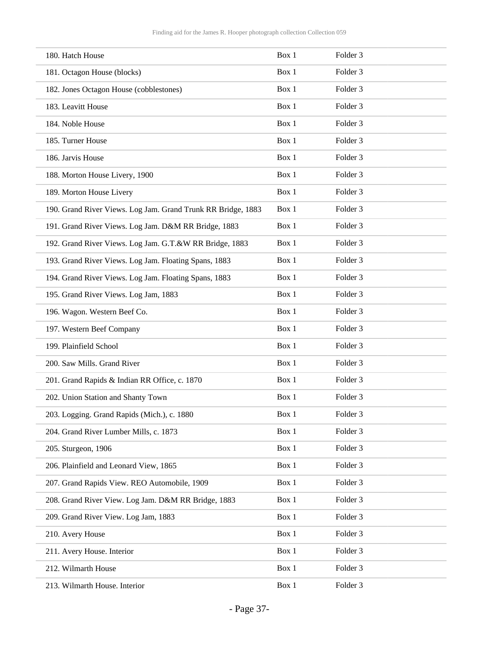| 180. Hatch House                                             | Box 1 | Folder <sub>3</sub> |
|--------------------------------------------------------------|-------|---------------------|
| 181. Octagon House (blocks)                                  | Box 1 | Folder <sub>3</sub> |
| 182. Jones Octagon House (cobblestones)                      | Box 1 | Folder <sub>3</sub> |
| 183. Leavitt House                                           | Box 1 | Folder <sub>3</sub> |
| 184. Noble House                                             | Box 1 | Folder <sub>3</sub> |
| 185. Turner House                                            | Box 1 | Folder <sub>3</sub> |
| 186. Jarvis House                                            | Box 1 | Folder <sub>3</sub> |
| 188. Morton House Livery, 1900                               | Box 1 | Folder <sub>3</sub> |
| 189. Morton House Livery                                     | Box 1 | Folder <sub>3</sub> |
| 190. Grand River Views. Log Jam. Grand Trunk RR Bridge, 1883 | Box 1 | Folder <sub>3</sub> |
| 191. Grand River Views. Log Jam. D&M RR Bridge, 1883         | Box 1 | Folder <sub>3</sub> |
| 192. Grand River Views. Log Jam. G.T.&W RR Bridge, 1883      | Box 1 | Folder <sub>3</sub> |
| 193. Grand River Views. Log Jam. Floating Spans, 1883        | Box 1 | Folder <sub>3</sub> |
| 194. Grand River Views. Log Jam. Floating Spans, 1883        | Box 1 | Folder <sub>3</sub> |
| 195. Grand River Views. Log Jam, 1883                        | Box 1 | Folder <sub>3</sub> |
| 196. Wagon. Western Beef Co.                                 | Box 1 | Folder <sub>3</sub> |
| 197. Western Beef Company                                    | Box 1 | Folder <sub>3</sub> |
| 199. Plainfield School                                       | Box 1 | Folder <sub>3</sub> |
| 200. Saw Mills. Grand River                                  | Box 1 | Folder <sub>3</sub> |
| 201. Grand Rapids & Indian RR Office, c. 1870                | Box 1 | Folder <sub>3</sub> |
| 202. Union Station and Shanty Town                           | Box 1 | Folder <sub>3</sub> |
| 203. Logging. Grand Rapids (Mich.), c. 1880                  | Box 1 | Folder 3            |
| 204. Grand River Lumber Mills, c. 1873                       | Box 1 | Folder 3            |
| 205. Sturgeon, 1906                                          | Box 1 | Folder 3            |
| 206. Plainfield and Leonard View, 1865                       | Box 1 | Folder 3            |
| 207. Grand Rapids View. REO Automobile, 1909                 | Box 1 | Folder 3            |
| 208. Grand River View. Log Jam. D&M RR Bridge, 1883          | Box 1 | Folder 3            |
| 209. Grand River View. Log Jam, 1883                         | Box 1 | Folder 3            |
| 210. Avery House                                             | Box 1 | Folder 3            |
| 211. Avery House. Interior                                   | Box 1 | Folder 3            |
| 212. Wilmarth House                                          | Box 1 | Folder 3            |
| 213. Wilmarth House. Interior                                | Box 1 | Folder 3            |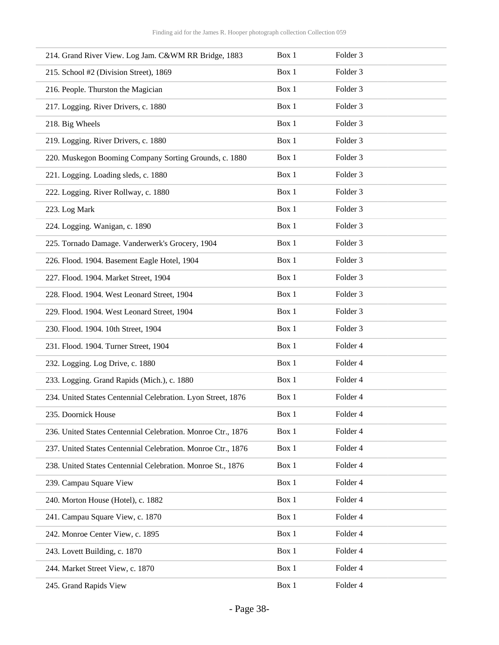| 214. Grand River View. Log Jam. C&WM RR Bridge, 1883         | Box 1 | Folder 3            |
|--------------------------------------------------------------|-------|---------------------|
| 215. School #2 (Division Street), 1869                       | Box 1 | Folder <sub>3</sub> |
| 216. People. Thurston the Magician                           | Box 1 | Folder 3            |
| 217. Logging. River Drivers, c. 1880                         | Box 1 | Folder 3            |
| 218. Big Wheels                                              | Box 1 | Folder 3            |
| 219. Logging. River Drivers, c. 1880                         | Box 1 | Folder <sub>3</sub> |
| 220. Muskegon Booming Company Sorting Grounds, c. 1880       | Box 1 | Folder 3            |
| 221. Logging. Loading sleds, c. 1880                         | Box 1 | Folder 3            |
| 222. Logging. River Rollway, c. 1880                         | Box 1 | Folder 3            |
| 223. Log Mark                                                | Box 1 | Folder <sub>3</sub> |
| 224. Logging. Wanigan, c. 1890                               | Box 1 | Folder 3            |
| 225. Tornado Damage. Vanderwerk's Grocery, 1904              | Box 1 | Folder 3            |
| 226. Flood. 1904. Basement Eagle Hotel, 1904                 | Box 1 | Folder 3            |
| 227. Flood. 1904. Market Street, 1904                        | Box 1 | Folder <sub>3</sub> |
| 228. Flood. 1904. West Leonard Street, 1904                  | Box 1 | Folder 3            |
| 229. Flood. 1904. West Leonard Street, 1904                  | Box 1 | Folder 3            |
| 230. Flood. 1904. 10th Street, 1904                          | Box 1 | Folder 3            |
| 231. Flood. 1904. Turner Street, 1904                        | Box 1 | Folder 4            |
| 232. Logging. Log Drive, c. 1880                             | Box 1 | Folder 4            |
| 233. Logging. Grand Rapids (Mich.), c. 1880                  | Box 1 | Folder 4            |
| 234. United States Centennial Celebration. Lyon Street, 1876 | Box 1 | Folder 4            |
| 235. Doornick House                                          | Box 1 | Folder 4            |
| 236. United States Centennial Celebration. Monroe Ctr., 1876 | Box 1 | Folder 4            |
| 237. United States Centennial Celebration. Monroe Ctr., 1876 | Box 1 | Folder 4            |
| 238. United States Centennial Celebration. Monroe St., 1876  | Box 1 | Folder 4            |
| 239. Campau Square View                                      | Box 1 | Folder 4            |
| 240. Morton House (Hotel), c. 1882                           | Box 1 | Folder 4            |
| 241. Campau Square View, c. 1870                             | Box 1 | Folder 4            |
| 242. Monroe Center View, c. 1895                             | Box 1 | Folder 4            |
| 243. Lovett Building, c. 1870                                | Box 1 | Folder 4            |
| 244. Market Street View, c. 1870                             | Box 1 | Folder 4            |
| 245. Grand Rapids View                                       | Box 1 | Folder 4            |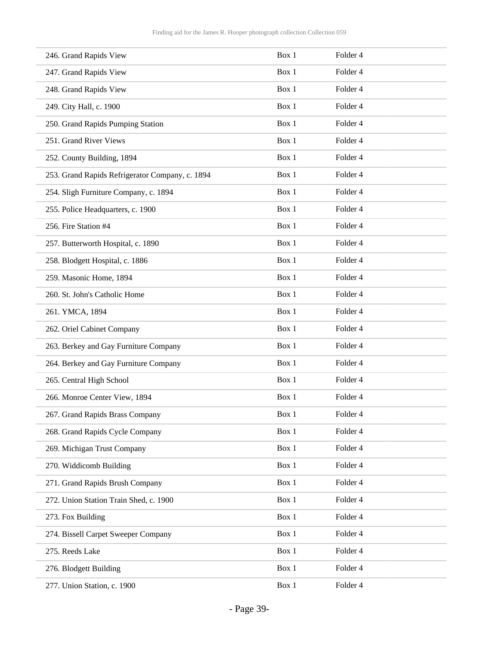| 246. Grand Rapids View                          | Box 1 | Folder 4            |
|-------------------------------------------------|-------|---------------------|
| 247. Grand Rapids View                          | Box 1 | Folder 4            |
| 248. Grand Rapids View                          | Box 1 | Folder 4            |
| 249. City Hall, c. 1900                         | Box 1 | Folder 4            |
| 250. Grand Rapids Pumping Station               | Box 1 | Folder 4            |
| 251. Grand River Views                          | Box 1 | Folder 4            |
| 252. County Building, 1894                      | Box 1 | Folder <sub>4</sub> |
| 253. Grand Rapids Refrigerator Company, c. 1894 | Box 1 | Folder 4            |
| 254. Sligh Furniture Company, c. 1894           | Box 1 | Folder 4            |
| 255. Police Headquarters, c. 1900               | Box 1 | Folder 4            |
| 256. Fire Station #4                            | Box 1 | Folder 4            |
| 257. Butterworth Hospital, c. 1890              | Box 1 | Folder 4            |
| 258. Blodgett Hospital, c. 1886                 | Box 1 | Folder 4            |
| 259. Masonic Home, 1894                         | Box 1 | Folder 4            |
| 260. St. John's Catholic Home                   | Box 1 | Folder 4            |
| 261. YMCA, 1894                                 | Box 1 | Folder 4            |
| 262. Oriel Cabinet Company                      | Box 1 | Folder 4            |
| 263. Berkey and Gay Furniture Company           | Box 1 | Folder 4            |
| 264. Berkey and Gay Furniture Company           | Box 1 | Folder 4            |
| 265. Central High School                        | Box 1 | Folder 4            |
| 266. Monroe Center View, 1894                   | Box 1 | Folder 4            |
| 267. Grand Rapids Brass Company                 | Box 1 | Folder 4            |
| 268. Grand Rapids Cycle Company                 | Box 1 | Folder 4            |
| 269. Michigan Trust Company                     | Box 1 | Folder 4            |
| 270. Widdicomb Building                         | Box 1 | Folder 4            |
| 271. Grand Rapids Brush Company                 | Box 1 | Folder 4            |
| 272. Union Station Train Shed, c. 1900          | Box 1 | Folder 4            |
| 273. Fox Building                               | Box 1 | Folder 4            |
| 274. Bissell Carpet Sweeper Company             | Box 1 | Folder 4            |
| 275. Reeds Lake                                 | Box 1 | Folder 4            |
| 276. Blodgett Building                          | Box 1 | Folder 4            |
| 277. Union Station, c. 1900                     | Box 1 | Folder 4            |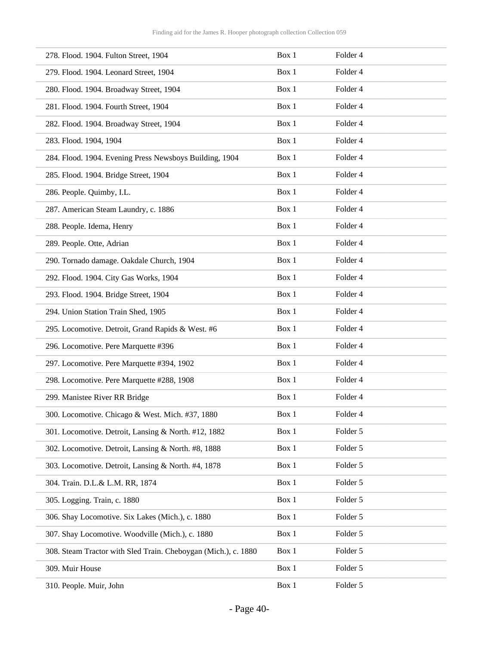| 278. Flood. 1904. Fulton Street, 1904                          | Box 1 | Folder 4            |
|----------------------------------------------------------------|-------|---------------------|
| 279. Flood. 1904. Leonard Street, 1904                         | Box 1 | Folder 4            |
| 280. Flood. 1904. Broadway Street, 1904                        | Box 1 | Folder 4            |
| 281. Flood. 1904. Fourth Street, 1904                          | Box 1 | Folder 4            |
| 282. Flood. 1904. Broadway Street, 1904                        | Box 1 | Folder 4            |
| 283. Flood. 1904, 1904                                         | Box 1 | Folder <sub>4</sub> |
| 284. Flood. 1904. Evening Press Newsboys Building, 1904        | Box 1 | Folder 4            |
| 285. Flood. 1904. Bridge Street, 1904                          | Box 1 | Folder 4            |
| 286. People. Quimby, I.L.                                      | Box 1 | Folder 4            |
| 287. American Steam Laundry, c. 1886                           | Box 1 | Folder 4            |
| 288. People. Idema, Henry                                      | Box 1 | Folder 4            |
| 289. People. Otte, Adrian                                      | Box 1 | Folder 4            |
| 290. Tornado damage. Oakdale Church, 1904                      | Box 1 | Folder 4            |
| 292. Flood. 1904. City Gas Works, 1904                         | Box 1 | Folder 4            |
| 293. Flood. 1904. Bridge Street, 1904                          | Box 1 | Folder 4            |
| 294. Union Station Train Shed, 1905                            | Box 1 | Folder 4            |
| 295. Locomotive. Detroit, Grand Rapids & West. #6              | Box 1 | Folder 4            |
| 296. Locomotive. Pere Marquette #396                           | Box 1 | Folder 4            |
| 297. Locomotive. Pere Marquette #394, 1902                     | Box 1 | Folder 4            |
| 298. Locomotive. Pere Marquette #288, 1908                     | Box 1 | Folder 4            |
| 299. Manistee River RR Bridge                                  | Box 1 | Folder 4            |
| 300. Locomotive. Chicago & West. Mich. #37, 1880               | Box 1 | Folder 4            |
| 301. Locomotive. Detroit, Lansing & North. #12, 1882           | Box 1 | Folder 5            |
| 302. Locomotive. Detroit, Lansing & North. #8, 1888            | Box 1 | Folder 5            |
| 303. Locomotive. Detroit, Lansing & North. #4, 1878            | Box 1 | Folder 5            |
| 304. Train. D.L.& L.M. RR, 1874                                | Box 1 | Folder 5            |
| 305. Logging. Train, c. 1880                                   | Box 1 | Folder 5            |
| 306. Shay Locomotive. Six Lakes (Mich.), c. 1880               | Box 1 | Folder 5            |
| 307. Shay Locomotive. Woodville (Mich.), c. 1880               | Box 1 | Folder 5            |
| 308. Steam Tractor with Sled Train. Cheboygan (Mich.), c. 1880 | Box 1 | Folder 5            |
| 309. Muir House                                                | Box 1 | Folder 5            |
| 310. People. Muir, John                                        | Box 1 | Folder 5            |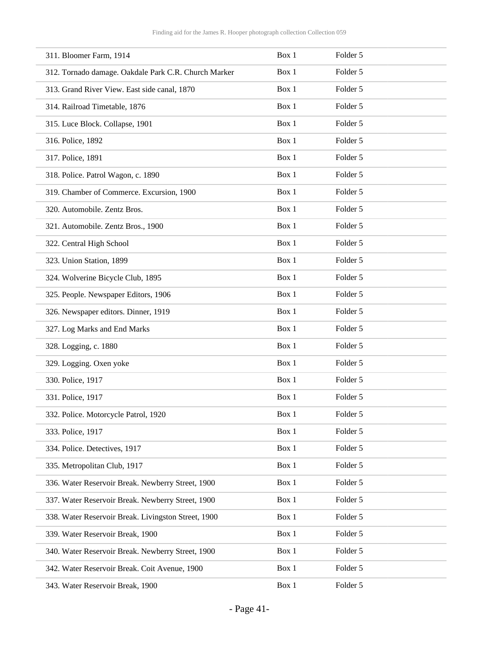| 311. Bloomer Farm, 1914                              | Box 1 | Folder 5 |
|------------------------------------------------------|-------|----------|
| 312. Tornado damage. Oakdale Park C.R. Church Marker | Box 1 | Folder 5 |
| 313. Grand River View. East side canal, 1870         | Box 1 | Folder 5 |
| 314. Railroad Timetable, 1876                        | Box 1 | Folder 5 |
| 315. Luce Block. Collapse, 1901                      | Box 1 | Folder 5 |
| 316. Police, 1892                                    | Box 1 | Folder 5 |
| 317. Police, 1891                                    | Box 1 | Folder 5 |
| 318. Police. Patrol Wagon, c. 1890                   | Box 1 | Folder 5 |
| 319. Chamber of Commerce. Excursion, 1900            | Box 1 | Folder 5 |
| 320. Automobile. Zentz Bros.                         | Box 1 | Folder 5 |
| 321. Automobile. Zentz Bros., 1900                   | Box 1 | Folder 5 |
| 322. Central High School                             | Box 1 | Folder 5 |
| 323. Union Station, 1899                             | Box 1 | Folder 5 |
| 324. Wolverine Bicycle Club, 1895                    | Box 1 | Folder 5 |
| 325. People. Newspaper Editors, 1906                 | Box 1 | Folder 5 |
| 326. Newspaper editors. Dinner, 1919                 | Box 1 | Folder 5 |
| 327. Log Marks and End Marks                         | Box 1 | Folder 5 |
| 328. Logging, c. 1880                                | Box 1 | Folder 5 |
| 329. Logging. Oxen yoke                              | Box 1 | Folder 5 |
| 330. Police, 1917                                    | Box 1 | Folder 5 |
| 331. Police, 1917                                    | Box 1 | Folder 5 |
| 332. Police. Motorcycle Patrol, 1920                 | Box 1 | Folder 5 |
| 333. Police, 1917                                    | Box 1 | Folder 5 |
| 334. Police. Detectives, 1917                        | Box 1 | Folder 5 |
| 335. Metropolitan Club, 1917                         | Box 1 | Folder 5 |
| 336. Water Reservoir Break. Newberry Street, 1900    | Box 1 | Folder 5 |
| 337. Water Reservoir Break. Newberry Street, 1900    | Box 1 | Folder 5 |
| 338. Water Reservoir Break. Livingston Street, 1900  | Box 1 | Folder 5 |
| 339. Water Reservoir Break, 1900                     | Box 1 | Folder 5 |
| 340. Water Reservoir Break. Newberry Street, 1900    | Box 1 | Folder 5 |
| 342. Water Reservoir Break. Coit Avenue, 1900        | Box 1 | Folder 5 |
| 343. Water Reservoir Break, 1900                     | Box 1 | Folder 5 |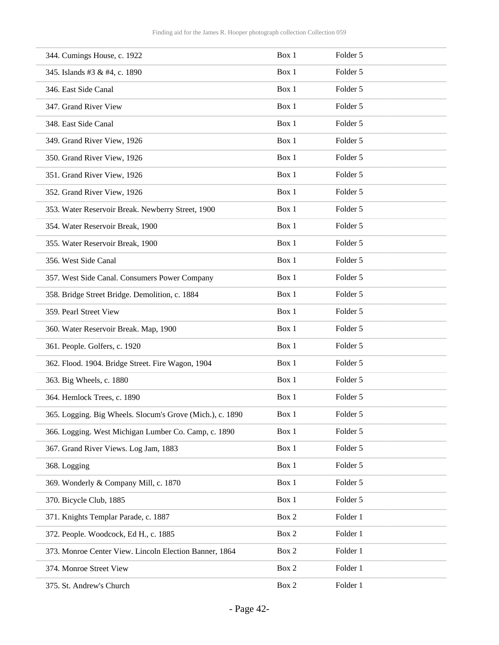| 344. Cumings House, c. 1922                               | Box 1 | Folder 5 |
|-----------------------------------------------------------|-------|----------|
| 345. Islands #3 & #4, c. 1890                             | Box 1 | Folder 5 |
| 346. East Side Canal                                      | Box 1 | Folder 5 |
| 347. Grand River View                                     | Box 1 | Folder 5 |
| 348. East Side Canal                                      | Box 1 | Folder 5 |
| 349. Grand River View, 1926                               | Box 1 | Folder 5 |
| 350. Grand River View, 1926                               | Box 1 | Folder 5 |
| 351. Grand River View, 1926                               | Box 1 | Folder 5 |
| 352. Grand River View, 1926                               | Box 1 | Folder 5 |
| 353. Water Reservoir Break. Newberry Street, 1900         | Box 1 | Folder 5 |
| 354. Water Reservoir Break, 1900                          | Box 1 | Folder 5 |
| 355. Water Reservoir Break, 1900                          | Box 1 | Folder 5 |
| 356. West Side Canal                                      | Box 1 | Folder 5 |
| 357. West Side Canal. Consumers Power Company             | Box 1 | Folder 5 |
| 358. Bridge Street Bridge. Demolition, c. 1884            | Box 1 | Folder 5 |
| 359. Pearl Street View                                    | Box 1 | Folder 5 |
| 360. Water Reservoir Break. Map, 1900                     | Box 1 | Folder 5 |
| 361. People. Golfers, c. 1920                             | Box 1 | Folder 5 |
| 362. Flood. 1904. Bridge Street. Fire Wagon, 1904         | Box 1 | Folder 5 |
| 363. Big Wheels, c. 1880                                  | Box 1 | Folder 5 |
| 364. Hemlock Trees, c. 1890                               | Box 1 | Folder 5 |
| 365. Logging. Big Wheels. Slocum's Grove (Mich.), c. 1890 | Box 1 | Folder 5 |
| 366. Logging. West Michigan Lumber Co. Camp, c. 1890      | Box 1 | Folder 5 |
| 367. Grand River Views. Log Jam, 1883                     | Box 1 | Folder 5 |
| 368. Logging                                              | Box 1 | Folder 5 |
| 369. Wonderly & Company Mill, c. 1870                     | Box 1 | Folder 5 |
| 370. Bicycle Club, 1885                                   | Box 1 | Folder 5 |
| 371. Knights Templar Parade, c. 1887                      | Box 2 | Folder 1 |
| 372. People. Woodcock, Ed H., c. 1885                     | Box 2 | Folder 1 |
| 373. Monroe Center View. Lincoln Election Banner, 1864    | Box 2 | Folder 1 |
| 374. Monroe Street View                                   | Box 2 | Folder 1 |
| 375. St. Andrew's Church                                  | Box 2 | Folder 1 |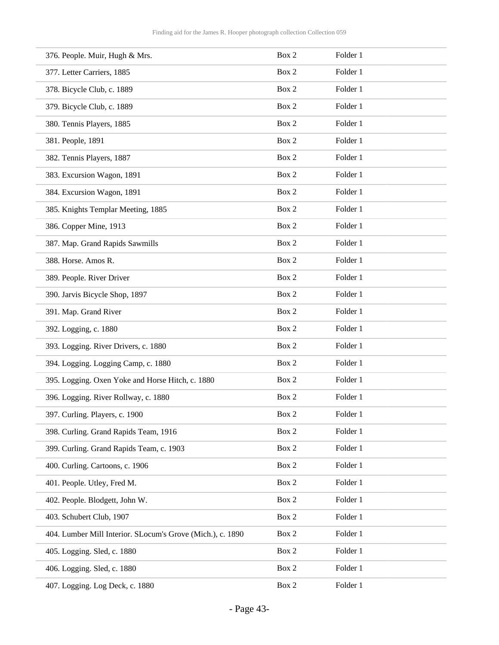| 376. People. Muir, Hugh & Mrs.                             | Box 2 | Folder 1 |
|------------------------------------------------------------|-------|----------|
| 377. Letter Carriers, 1885                                 | Box 2 | Folder 1 |
| 378. Bicycle Club, c. 1889                                 | Box 2 | Folder 1 |
| 379. Bicycle Club, c. 1889                                 | Box 2 | Folder 1 |
| 380. Tennis Players, 1885                                  | Box 2 | Folder 1 |
| 381. People, 1891                                          | Box 2 | Folder 1 |
| 382. Tennis Players, 1887                                  | Box 2 | Folder 1 |
| 383. Excursion Wagon, 1891                                 | Box 2 | Folder 1 |
| 384. Excursion Wagon, 1891                                 | Box 2 | Folder 1 |
| 385. Knights Templar Meeting, 1885                         | Box 2 | Folder 1 |
| 386. Copper Mine, 1913                                     | Box 2 | Folder 1 |
| 387. Map. Grand Rapids Sawmills                            | Box 2 | Folder 1 |
| 388. Horse. Amos R.                                        | Box 2 | Folder 1 |
| 389. People. River Driver                                  | Box 2 | Folder 1 |
| 390. Jarvis Bicycle Shop, 1897                             | Box 2 | Folder 1 |
| 391. Map. Grand River                                      | Box 2 | Folder 1 |
| 392. Logging, c. 1880                                      | Box 2 | Folder 1 |
| 393. Logging. River Drivers, c. 1880                       | Box 2 | Folder 1 |
| 394. Logging. Logging Camp, c. 1880                        | Box 2 | Folder 1 |
| 395. Logging. Oxen Yoke and Horse Hitch, c. 1880           | Box 2 | Folder 1 |
| 396. Logging. River Rollway, c. 1880                       | Box 2 | Folder 1 |
| 397. Curling. Players, c. 1900                             | Box 2 | Folder 1 |
| 398. Curling. Grand Rapids Team, 1916                      | Box 2 | Folder 1 |
| 399. Curling. Grand Rapids Team, c. 1903                   | Box 2 | Folder 1 |
| 400. Curling. Cartoons, c. 1906                            | Box 2 | Folder 1 |
| 401. People. Utley, Fred M.                                | Box 2 | Folder 1 |
| 402. People. Blodgett, John W.                             | Box 2 | Folder 1 |
| 403. Schubert Club, 1907                                   | Box 2 | Folder 1 |
| 404. Lumber Mill Interior. SLocum's Grove (Mich.), c. 1890 | Box 2 | Folder 1 |
| 405. Logging. Sled, c. 1880                                | Box 2 | Folder 1 |
| 406. Logging. Sled, c. 1880                                | Box 2 | Folder 1 |
| 407. Logging. Log Deck, c. 1880                            | Box 2 | Folder 1 |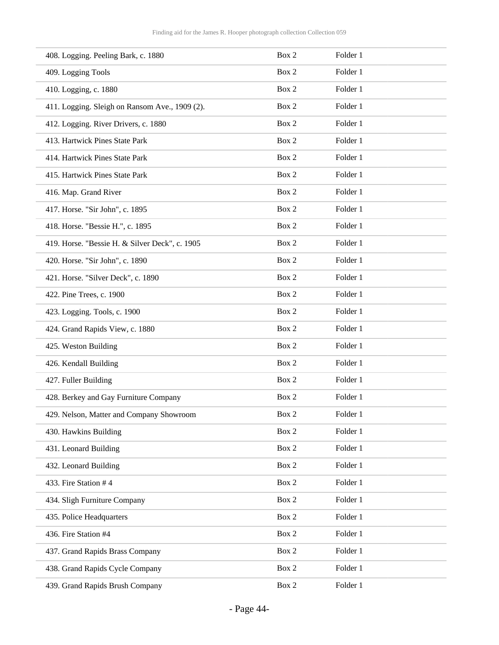| 408. Logging. Peeling Bark, c. 1880            | Box 2 | Folder 1 |
|------------------------------------------------|-------|----------|
| 409. Logging Tools                             | Box 2 | Folder 1 |
| 410. Logging, c. 1880                          | Box 2 | Folder 1 |
| 411. Logging. Sleigh on Ransom Ave., 1909 (2). | Box 2 | Folder 1 |
| 412. Logging. River Drivers, c. 1880           | Box 2 | Folder 1 |
| 413. Hartwick Pines State Park                 | Box 2 | Folder 1 |
| 414. Hartwick Pines State Park                 | Box 2 | Folder 1 |
| 415. Hartwick Pines State Park                 | Box 2 | Folder 1 |
| 416. Map. Grand River                          | Box 2 | Folder 1 |
| 417. Horse. "Sir John", c. 1895                | Box 2 | Folder 1 |
| 418. Horse. "Bessie H.", c. 1895               | Box 2 | Folder 1 |
| 419. Horse. "Bessie H. & Silver Deck", c. 1905 | Box 2 | Folder 1 |
| 420. Horse. "Sir John", c. 1890                | Box 2 | Folder 1 |
| 421. Horse. "Silver Deck", c. 1890             | Box 2 | Folder 1 |
| 422. Pine Trees, c. 1900                       | Box 2 | Folder 1 |
| 423. Logging. Tools, c. 1900                   | Box 2 | Folder 1 |
| 424. Grand Rapids View, c. 1880                | Box 2 | Folder 1 |
| 425. Weston Building                           | Box 2 | Folder 1 |
| 426. Kendall Building                          | Box 2 | Folder 1 |
| 427. Fuller Building                           | Box 2 | Folder 1 |
| 428. Berkey and Gay Furniture Company          | Box 2 | Folder 1 |
| 429. Nelson, Matter and Company Showroom       | Box 2 | Folder 1 |
| 430. Hawkins Building                          | Box 2 | Folder 1 |
| 431. Leonard Building                          | Box 2 | Folder 1 |
| 432. Leonard Building                          | Box 2 | Folder 1 |
| 433. Fire Station #4                           | Box 2 | Folder 1 |
| 434. Sligh Furniture Company                   | Box 2 | Folder 1 |
| 435. Police Headquarters                       | Box 2 | Folder 1 |
| 436. Fire Station #4                           | Box 2 | Folder 1 |
| 437. Grand Rapids Brass Company                | Box 2 | Folder 1 |
| 438. Grand Rapids Cycle Company                | Box 2 | Folder 1 |
| 439. Grand Rapids Brush Company                | Box 2 | Folder 1 |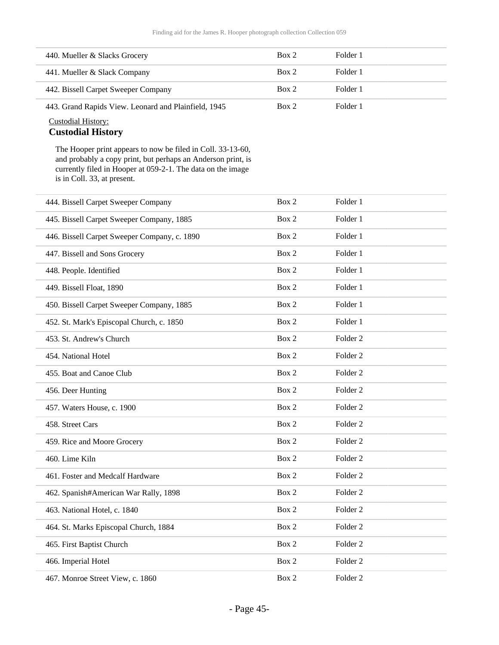| 440. Mueller & Slacks Grocery                        | Box 2 | Folder 1 |
|------------------------------------------------------|-------|----------|
| 441. Mueller & Slack Company                         | Box 2 | Folder 1 |
| 442. Bissell Carpet Sweeper Company                  | Box 2 | Folder 1 |
| 443. Grand Rapids View. Leonard and Plainfield, 1945 | Box 2 | Folder 1 |

### Custodial History:

### **Custodial History**

The Hooper print appears to now be filed in Coll. 33-13-60, and probably a copy print, but perhaps an Anderson print, is currently filed in Hooper at 059-2-1. The data on the image is in Coll. 33, at present.

| 444. Bissell Carpet Sweeper Company          | Box 2 | Folder 1            |
|----------------------------------------------|-------|---------------------|
| 445. Bissell Carpet Sweeper Company, 1885    | Box 2 | Folder 1            |
| 446. Bissell Carpet Sweeper Company, c. 1890 | Box 2 | Folder 1            |
| 447. Bissell and Sons Grocery                | Box 2 | Folder 1            |
| 448. People. Identified                      | Box 2 | Folder 1            |
| 449. Bissell Float, 1890                     | Box 2 | Folder 1            |
| 450. Bissell Carpet Sweeper Company, 1885    | Box 2 | Folder 1            |
| 452. St. Mark's Episcopal Church, c. 1850    | Box 2 | Folder 1            |
| 453. St. Andrew's Church                     | Box 2 | Folder <sub>2</sub> |
| 454. National Hotel                          | Box 2 | Folder <sub>2</sub> |
| 455. Boat and Canoe Club                     | Box 2 | Folder <sub>2</sub> |
| 456. Deer Hunting                            | Box 2 | Folder <sub>2</sub> |
| 457. Waters House, c. 1900                   | Box 2 | Folder <sub>2</sub> |
| 458. Street Cars                             | Box 2 | Folder <sub>2</sub> |
| 459. Rice and Moore Grocery                  | Box 2 | Folder <sub>2</sub> |
| 460. Lime Kiln                               | Box 2 | Folder <sub>2</sub> |
| 461. Foster and Medcalf Hardware             | Box 2 | Folder <sub>2</sub> |
| 462. Spanish#American War Rally, 1898        | Box 2 | Folder <sub>2</sub> |
| 463. National Hotel, c. 1840                 | Box 2 | Folder <sub>2</sub> |
| 464. St. Marks Episcopal Church, 1884        | Box 2 | Folder <sub>2</sub> |
| 465. First Baptist Church                    | Box 2 | Folder <sub>2</sub> |
| 466. Imperial Hotel                          | Box 2 | Folder <sub>2</sub> |
| 467. Monroe Street View, c. 1860             | Box 2 | Folder <sub>2</sub> |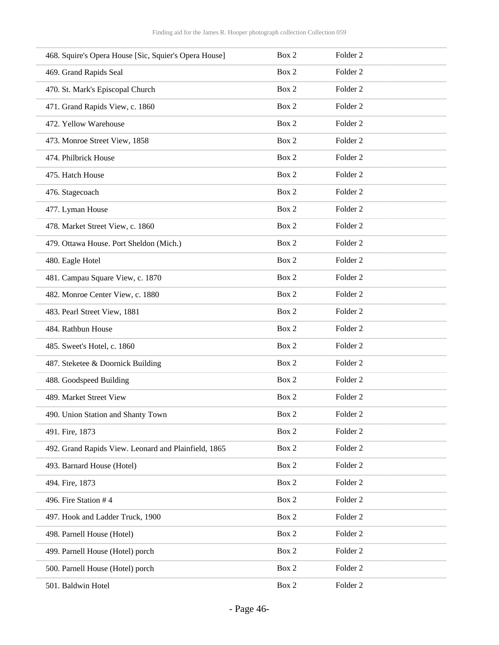| 468. Squire's Opera House [Sic, Squier's Opera House] | Box 2 | Folder <sub>2</sub> |
|-------------------------------------------------------|-------|---------------------|
| 469. Grand Rapids Seal                                | Box 2 | Folder <sub>2</sub> |
| 470. St. Mark's Episcopal Church                      | Box 2 | Folder <sub>2</sub> |
| 471. Grand Rapids View, c. 1860                       | Box 2 | Folder <sub>2</sub> |
| 472. Yellow Warehouse                                 | Box 2 | Folder <sub>2</sub> |
| 473. Monroe Street View, 1858                         | Box 2 | Folder <sub>2</sub> |
| 474. Philbrick House                                  | Box 2 | Folder <sub>2</sub> |
| 475. Hatch House                                      | Box 2 | Folder <sub>2</sub> |
| 476. Stagecoach                                       | Box 2 | Folder <sub>2</sub> |
| 477. Lyman House                                      | Box 2 | Folder <sub>2</sub> |
| 478. Market Street View, c. 1860                      | Box 2 | Folder <sub>2</sub> |
| 479. Ottawa House. Port Sheldon (Mich.)               | Box 2 | Folder <sub>2</sub> |
| 480. Eagle Hotel                                      | Box 2 | Folder <sub>2</sub> |
| 481. Campau Square View, c. 1870                      | Box 2 | Folder <sub>2</sub> |
| 482. Monroe Center View, c. 1880                      | Box 2 | Folder <sub>2</sub> |
| 483. Pearl Street View, 1881                          | Box 2 | Folder <sub>2</sub> |
| 484. Rathbun House                                    | Box 2 | Folder <sub>2</sub> |
| 485. Sweet's Hotel, c. 1860                           | Box 2 | Folder <sub>2</sub> |
| 487. Steketee & Doornick Building                     | Box 2 | Folder <sub>2</sub> |
| 488. Goodspeed Building                               | Box 2 | Folder <sub>2</sub> |
| 489. Market Street View                               | Box 2 | Folder <sub>2</sub> |
| 490. Union Station and Shanty Town                    | Box 2 | Folder <sub>2</sub> |
| 491. Fire, 1873                                       | Box 2 | Folder <sub>2</sub> |
| 492. Grand Rapids View. Leonard and Plainfield, 1865  | Box 2 | Folder <sub>2</sub> |
| 493. Barnard House (Hotel)                            | Box 2 | Folder <sub>2</sub> |
| 494. Fire, 1873                                       | Box 2 | Folder <sub>2</sub> |
| 496. Fire Station #4                                  | Box 2 | Folder <sub>2</sub> |
| 497. Hook and Ladder Truck, 1900                      | Box 2 | Folder <sub>2</sub> |
| 498. Parnell House (Hotel)                            | Box 2 | Folder <sub>2</sub> |
| 499. Parnell House (Hotel) porch                      | Box 2 | Folder <sub>2</sub> |
| 500. Parnell House (Hotel) porch                      | Box 2 | Folder <sub>2</sub> |
| 501. Baldwin Hotel                                    | Box 2 | Folder <sub>2</sub> |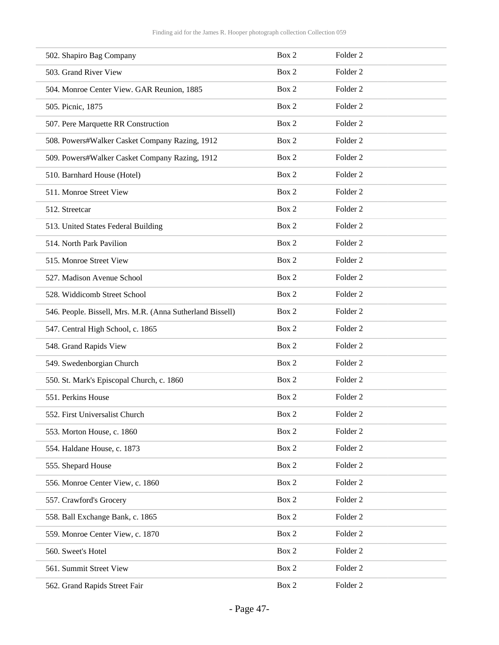| 502. Shapiro Bag Company                                  | Box 2 | Folder <sub>2</sub> |
|-----------------------------------------------------------|-------|---------------------|
| 503. Grand River View                                     | Box 2 | Folder <sub>2</sub> |
| 504. Monroe Center View. GAR Reunion, 1885                | Box 2 | Folder <sub>2</sub> |
| 505. Picnic, 1875                                         | Box 2 | Folder <sub>2</sub> |
| 507. Pere Marquette RR Construction                       | Box 2 | Folder <sub>2</sub> |
| 508. Powers#Walker Casket Company Razing, 1912            | Box 2 | Folder <sub>2</sub> |
| 509. Powers#Walker Casket Company Razing, 1912            | Box 2 | Folder <sub>2</sub> |
| 510. Barnhard House (Hotel)                               | Box 2 | Folder <sub>2</sub> |
| 511. Monroe Street View                                   | Box 2 | Folder <sub>2</sub> |
| 512. Streetcar                                            | Box 2 | Folder <sub>2</sub> |
| 513. United States Federal Building                       | Box 2 | Folder <sub>2</sub> |
| 514. North Park Pavilion                                  | Box 2 | Folder <sub>2</sub> |
| 515. Monroe Street View                                   | Box 2 | Folder <sub>2</sub> |
| 527. Madison Avenue School                                | Box 2 | Folder <sub>2</sub> |
| 528. Widdicomb Street School                              | Box 2 | Folder <sub>2</sub> |
| 546. People. Bissell, Mrs. M.R. (Anna Sutherland Bissell) | Box 2 | Folder <sub>2</sub> |
| 547. Central High School, c. 1865                         | Box 2 | Folder <sub>2</sub> |
| 548. Grand Rapids View                                    | Box 2 | Folder <sub>2</sub> |
| 549. Swedenborgian Church                                 | Box 2 | Folder <sub>2</sub> |
| 550. St. Mark's Episcopal Church, c. 1860                 | Box 2 | Folder <sub>2</sub> |
| 551. Perkins House                                        | Box 2 | Folder <sub>2</sub> |
| 552. First Universalist Church                            | Box 2 | Folder <sub>2</sub> |
| 553. Morton House, c. 1860                                | Box 2 | Folder <sub>2</sub> |
| 554. Haldane House, c. 1873                               | Box 2 | Folder <sub>2</sub> |
| 555. Shepard House                                        | Box 2 | Folder <sub>2</sub> |
| 556. Monroe Center View, c. 1860                          | Box 2 | Folder <sub>2</sub> |
| 557. Crawford's Grocery                                   | Box 2 | Folder <sub>2</sub> |
| 558. Ball Exchange Bank, c. 1865                          | Box 2 | Folder <sub>2</sub> |
| 559. Monroe Center View, c. 1870                          | Box 2 | Folder <sub>2</sub> |
| 560. Sweet's Hotel                                        | Box 2 | Folder <sub>2</sub> |
| 561. Summit Street View                                   | Box 2 | Folder <sub>2</sub> |
| 562. Grand Rapids Street Fair                             | Box 2 | Folder <sub>2</sub> |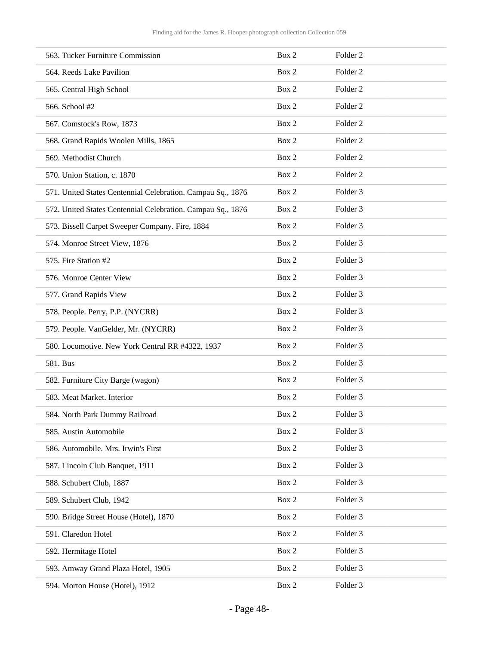| 563. Tucker Furniture Commission                            | Box 2 | Folder <sub>2</sub> |
|-------------------------------------------------------------|-------|---------------------|
| 564. Reeds Lake Pavilion                                    | Box 2 | Folder <sub>2</sub> |
| 565. Central High School                                    | Box 2 | Folder <sub>2</sub> |
| 566. School #2                                              | Box 2 | Folder <sub>2</sub> |
| 567. Comstock's Row, 1873                                   | Box 2 | Folder <sub>2</sub> |
| 568. Grand Rapids Woolen Mills, 1865                        | Box 2 | Folder <sub>2</sub> |
| 569. Methodist Church                                       | Box 2 | Folder <sub>2</sub> |
| 570. Union Station, c. 1870                                 | Box 2 | Folder <sub>2</sub> |
| 571. United States Centennial Celebration. Campau Sq., 1876 | Box 2 | Folder 3            |
| 572. United States Centennial Celebration. Campau Sq., 1876 | Box 2 | Folder <sub>3</sub> |
| 573. Bissell Carpet Sweeper Company. Fire, 1884             | Box 2 | Folder 3            |
| 574. Monroe Street View, 1876                               | Box 2 | Folder 3            |
| 575. Fire Station #2                                        | Box 2 | Folder 3            |
| 576. Monroe Center View                                     | Box 2 | Folder <sub>3</sub> |
| 577. Grand Rapids View                                      | Box 2 | Folder 3            |
| 578. People. Perry, P.P. (NYCRR)                            | Box 2 | Folder 3            |
| 579. People. VanGelder, Mr. (NYCRR)                         | Box 2 | Folder 3            |
| 580. Locomotive. New York Central RR #4322, 1937            | Box 2 | Folder <sub>3</sub> |
| 581. Bus                                                    | Box 2 | Folder 3            |
| 582. Furniture City Barge (wagon)                           | Box 2 | Folder 3            |
| 583. Meat Market. Interior                                  | Box 2 | Folder <sub>3</sub> |
| 584. North Park Dummy Railroad                              | Box 2 | Folder 3            |
| 585. Austin Automobile                                      | Box 2 | Folder 3            |
| 586. Automobile. Mrs. Irwin's First                         | Box 2 | Folder 3            |
| 587. Lincoln Club Banquet, 1911                             | Box 2 | Folder 3            |
| 588. Schubert Club, 1887                                    | Box 2 | Folder 3            |
| 589. Schubert Club, 1942                                    | Box 2 | Folder 3            |
| 590. Bridge Street House (Hotel), 1870                      | Box 2 | Folder 3            |
| 591. Claredon Hotel                                         | Box 2 | Folder 3            |
| 592. Hermitage Hotel                                        | Box 2 | Folder 3            |
| 593. Amway Grand Plaza Hotel, 1905                          | Box 2 | Folder 3            |
| 594. Morton House (Hotel), 1912                             | Box 2 | Folder 3            |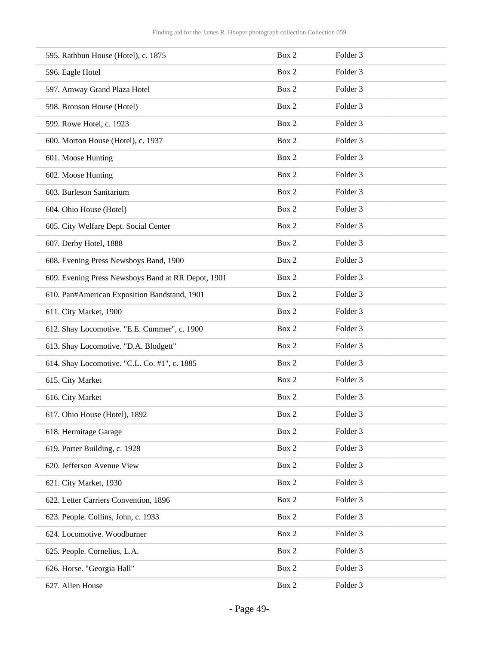| 595. Rathbun House (Hotel), c. 1875                | Box 2 | Folder 3            |
|----------------------------------------------------|-------|---------------------|
| 596. Eagle Hotel                                   | Box 2 | Folder <sub>3</sub> |
| 597. Amway Grand Plaza Hotel                       | Box 2 | Folder 3            |
| 598. Bronson House (Hotel)                         | Box 2 | Folder 3            |
| 599. Rowe Hotel, c. 1923                           | Box 2 | Folder 3            |
| 600. Morton House (Hotel), c. 1937                 | Box 2 | Folder <sub>3</sub> |
| 601. Moose Hunting                                 | Box 2 | Folder 3            |
| 602. Moose Hunting                                 | Box 2 | Folder 3            |
| 603. Burleson Sanitarium                           | Box 2 | Folder 3            |
| 604. Ohio House (Hotel)                            | Box 2 | Folder <sub>3</sub> |
| 605. City Welfare Dept. Social Center              | Box 2 | Folder 3            |
| 607. Derby Hotel, 1888                             | Box 2 | Folder <sub>3</sub> |
| 608. Evening Press Newsboys Band, 1900             | Box 2 | Folder 3            |
| 609. Evening Press Newsboys Band at RR Depot, 1901 | Box 2 | Folder <sub>3</sub> |
| 610. Pan#American Exposition Bandstand, 1901       | Box 2 | Folder 3            |
| 611. City Market, 1900                             | Box 2 | Folder 3            |
| 612. Shay Locomotive. "E.E. Cummer", c. 1900       | Box 2 | Folder 3            |
| 613. Shay Locomotive. "D.A. Blodgett"              | Box 2 | Folder <sub>3</sub> |
| 614. Shay Locomotive. "C.L. Co. #1", c. 1885       | Box 2 | Folder <sub>3</sub> |
| 615. City Market                                   | Box 2 | Folder 3            |
| 616. City Market                                   | Box 2 | Folder 3            |
| 617. Ohio House (Hotel), 1892                      | Box 2 | Folder 3            |
| 618. Hermitage Garage                              | Box 2 | Folder 3            |
| 619. Porter Building, c. 1928                      | Box 2 | Folder 3            |
| 620. Jefferson Avenue View                         | Box 2 | Folder 3            |
| 621. City Market, 1930                             | Box 2 | Folder 3            |
| 622. Letter Carriers Convention, 1896              | Box 2 | Folder 3            |
| 623. People. Collins, John, c. 1933                | Box 2 | Folder 3            |
| 624. Locomotive. Woodburner                        | Box 2 | Folder 3            |
| 625. People. Cornelius, L.A.                       | Box 2 | Folder 3            |
| 626. Horse. "Georgia Hall"                         | Box 2 | Folder 3            |
| 627. Allen House                                   | Box 2 | Folder 3            |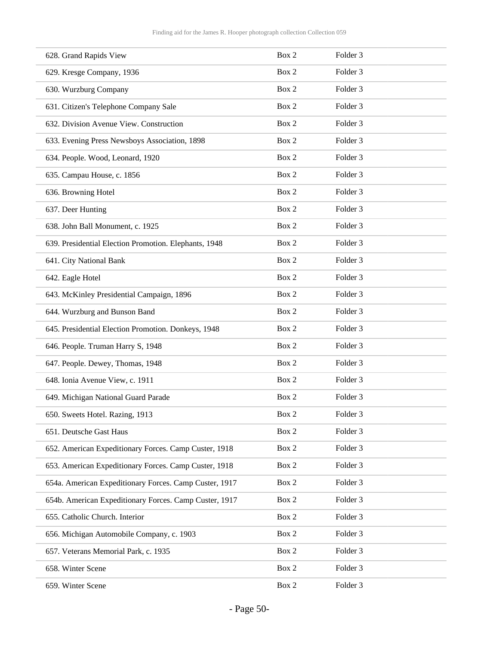| 628. Grand Rapids View                                 | Box 2 | Folder 3            |
|--------------------------------------------------------|-------|---------------------|
| 629. Kresge Company, 1936                              | Box 2 | Folder <sub>3</sub> |
| 630. Wurzburg Company                                  | Box 2 | Folder 3            |
| 631. Citizen's Telephone Company Sale                  | Box 2 | Folder <sub>3</sub> |
| 632. Division Avenue View. Construction                | Box 2 | Folder 3            |
| 633. Evening Press Newsboys Association, 1898          | Box 2 | Folder <sub>3</sub> |
| 634. People. Wood, Leonard, 1920                       | Box 2 | Folder 3            |
| 635. Campau House, c. 1856                             | Box 2 | Folder <sub>3</sub> |
| 636. Browning Hotel                                    | Box 2 | Folder 3            |
| 637. Deer Hunting                                      | Box 2 | Folder <sub>3</sub> |
| 638. John Ball Monument, c. 1925                       | Box 2 | Folder 3            |
| 639. Presidential Election Promotion. Elephants, 1948  | Box 2 | Folder <sub>3</sub> |
| 641. City National Bank                                | Box 2 | Folder 3            |
| 642. Eagle Hotel                                       | Box 2 | Folder <sub>3</sub> |
| 643. McKinley Presidential Campaign, 1896              | Box 2 | Folder 3            |
| 644. Wurzburg and Bunson Band                          | Box 2 | Folder 3            |
| 645. Presidential Election Promotion. Donkeys, 1948    | Box 2 | Folder 3            |
| 646. People. Truman Harry S, 1948                      | Box 2 | Folder <sub>3</sub> |
| 647. People. Dewey, Thomas, 1948                       | Box 2 | Folder 3            |
| 648. Ionia Avenue View, c. 1911                        | Box 2 | Folder 3            |
| 649. Michigan National Guard Parade                    | Box 2 | Folder 3            |
| 650. Sweets Hotel. Razing, 1913                        | Box 2 | Folder 3            |
| 651. Deutsche Gast Haus                                | Box 2 | Folder 3            |
| 652. American Expeditionary Forces. Camp Custer, 1918  | Box 2 | Folder 3            |
| 653. American Expeditionary Forces. Camp Custer, 1918  | Box 2 | Folder 3            |
| 654a. American Expeditionary Forces. Camp Custer, 1917 | Box 2 | Folder 3            |
| 654b. American Expeditionary Forces. Camp Custer, 1917 | Box 2 | Folder 3            |
| 655. Catholic Church. Interior                         | Box 2 | Folder 3            |
| 656. Michigan Automobile Company, c. 1903              | Box 2 | Folder 3            |
| 657. Veterans Memorial Park, c. 1935                   | Box 2 | Folder 3            |
| 658. Winter Scene                                      | Box 2 | Folder 3            |
| 659. Winter Scene                                      | Box 2 | Folder 3            |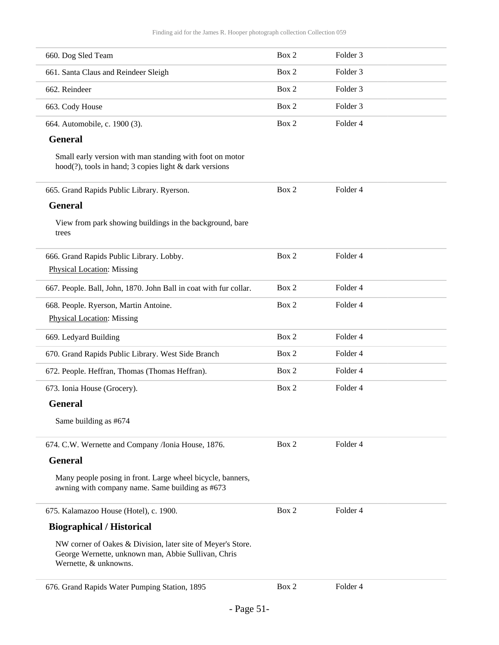| 660. Dog Sled Team                                                                                                                          | Box 2 | Folder <sub>3</sub> |  |
|---------------------------------------------------------------------------------------------------------------------------------------------|-------|---------------------|--|
| 661. Santa Claus and Reindeer Sleigh                                                                                                        | Box 2 | Folder <sub>3</sub> |  |
| 662. Reindeer                                                                                                                               | Box 2 | Folder <sub>3</sub> |  |
| 663. Cody House                                                                                                                             | Box 2 | Folder <sub>3</sub> |  |
| 664. Automobile, c. 1900 (3).                                                                                                               | Box 2 | Folder 4            |  |
| <b>General</b>                                                                                                                              |       |                     |  |
| Small early version with man standing with foot on motor<br>$hood(?)$ , tools in hand; 3 copies light & dark versions                       |       |                     |  |
| 665. Grand Rapids Public Library. Ryerson.                                                                                                  | Box 2 | Folder 4            |  |
| <b>General</b>                                                                                                                              |       |                     |  |
| View from park showing buildings in the background, bare<br>trees                                                                           |       |                     |  |
| 666. Grand Rapids Public Library. Lobby.                                                                                                    | Box 2 | Folder 4            |  |
| <b>Physical Location: Missing</b>                                                                                                           |       |                     |  |
| 667. People. Ball, John, 1870. John Ball in coat with fur collar.                                                                           | Box 2 | Folder 4            |  |
| 668. People. Ryerson, Martin Antoine.                                                                                                       | Box 2 | Folder 4            |  |
| <b>Physical Location: Missing</b>                                                                                                           |       |                     |  |
| 669. Ledyard Building                                                                                                                       | Box 2 | Folder 4            |  |
| 670. Grand Rapids Public Library. West Side Branch                                                                                          | Box 2 | Folder 4            |  |
| 672. People. Heffran, Thomas (Thomas Heffran).                                                                                              | Box 2 | Folder 4            |  |
| 673. Ionia House (Grocery).                                                                                                                 | Box 2 | Folder 4            |  |
| <b>General</b>                                                                                                                              |       |                     |  |
| Same building as #674                                                                                                                       |       |                     |  |
| 674. C.W. Wernette and Company /Ionia House, 1876.                                                                                          | Box 2 | Folder 4            |  |
| <b>General</b>                                                                                                                              |       |                     |  |
| Many people posing in front. Large wheel bicycle, banners,<br>awning with company name. Same building as #673                               |       |                     |  |
| 675. Kalamazoo House (Hotel), c. 1900.                                                                                                      | Box 2 | Folder 4            |  |
| <b>Biographical / Historical</b>                                                                                                            |       |                     |  |
| NW corner of Oakes & Division, later site of Meyer's Store.<br>George Wernette, unknown man, Abbie Sullivan, Chris<br>Wernette, & unknowns. |       |                     |  |
| 676. Grand Rapids Water Pumping Station, 1895                                                                                               | Box 2 | Folder 4            |  |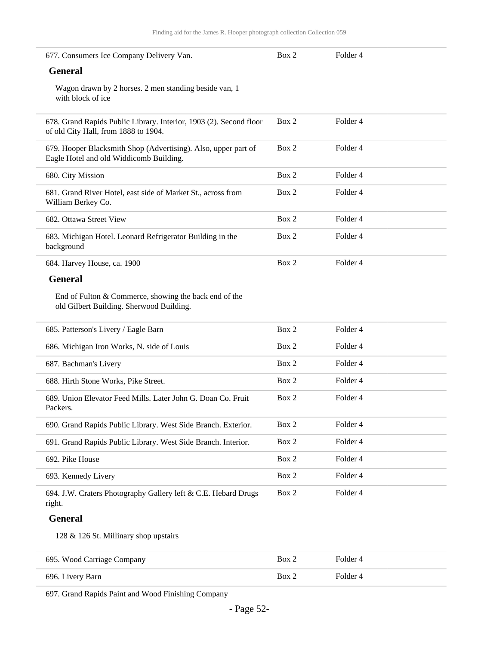| 677. Consumers Ice Company Delivery Van.                                                                   | Box 2 | Folder <sub>4</sub> |  |
|------------------------------------------------------------------------------------------------------------|-------|---------------------|--|
| <b>General</b>                                                                                             |       |                     |  |
| Wagon drawn by 2 horses. 2 men standing beside van, 1<br>with block of ice                                 |       |                     |  |
| 678. Grand Rapids Public Library. Interior, 1903 (2). Second floor<br>of old City Hall, from 1888 to 1904. | Box 2 | Folder 4            |  |
| 679. Hooper Blacksmith Shop (Advertising). Also, upper part of<br>Eagle Hotel and old Widdicomb Building.  | Box 2 | Folder 4            |  |
| 680. City Mission                                                                                          | Box 2 | Folder <sub>4</sub> |  |
| 681. Grand River Hotel, east side of Market St., across from<br>William Berkey Co.                         | Box 2 | Folder 4            |  |
| 682. Ottawa Street View                                                                                    | Box 2 | Folder 4            |  |
| 683. Michigan Hotel. Leonard Refrigerator Building in the<br>background                                    | Box 2 | Folder 4            |  |
| 684. Harvey House, ca. 1900                                                                                | Box 2 | Folder 4            |  |
| <b>General</b>                                                                                             |       |                     |  |
| End of Fulton & Commerce, showing the back end of the<br>old Gilbert Building. Sherwood Building.          |       |                     |  |
| 685. Patterson's Livery / Eagle Barn                                                                       | Box 2 | Folder 4            |  |
| 686. Michigan Iron Works, N. side of Louis                                                                 | Box 2 | Folder 4            |  |
| 687. Bachman's Livery                                                                                      | Box 2 | Folder 4            |  |
| 688. Hirth Stone Works, Pike Street.                                                                       | Box 2 | Folder 4            |  |
| 689. Union Elevator Feed Mills. Later John G. Doan Co. Fruit<br>Packers.                                   | Box 2 | Folder 4            |  |
| 690. Grand Rapids Public Library. West Side Branch. Exterior.                                              | Box 2 | Folder 4            |  |
| 691. Grand Rapids Public Library. West Side Branch. Interior.                                              | Box 2 | Folder 4            |  |
| 692. Pike House                                                                                            | Box 2 | Folder 4            |  |
| 693. Kennedy Livery                                                                                        | Box 2 | Folder 4            |  |
| 694. J.W. Craters Photography Gallery left & C.E. Hebard Drugs<br>right.                                   | Box 2 | Folder 4            |  |
| <b>General</b>                                                                                             |       |                     |  |
| 128 & 126 St. Millinary shop upstairs                                                                      |       |                     |  |
| 695. Wood Carriage Company                                                                                 | Box 2 | Folder 4            |  |

697. Grand Rapids Paint and Wood Finishing Company

696. Livery Barn Box 2 Folder 4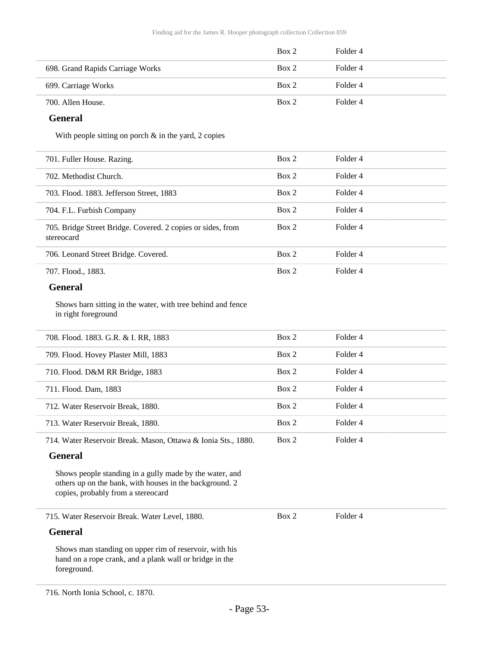|                                  | Box 2 | Folder 4 |
|----------------------------------|-------|----------|
| 698. Grand Rapids Carriage Works | Box 2 | Folder 4 |
| 699. Carriage Works              | Box 2 | Folder 4 |
| 700. Allen House.                | Box 2 | Folder 4 |

#### **General**

With people sitting on porch & in the yard, 2 copies

| 701. Fuller House. Razing.                                                | Box 2 | Folder 4 |
|---------------------------------------------------------------------------|-------|----------|
| 702. Methodist Church.                                                    | Box 2 | Folder 4 |
| 703. Flood. 1883. Jefferson Street, 1883                                  | Box 2 | Folder 4 |
| 704. F.L. Furbish Company                                                 | Box 2 | Folder 4 |
| 705. Bridge Street Bridge. Covered. 2 copies or sides, from<br>stereocard | Box 2 | Folder 4 |
| 706. Leonard Street Bridge. Covered.                                      | Box 2 | Folder 4 |
| 707. Flood., 1883.                                                        | Box 2 | Folder 4 |
|                                                                           |       |          |

### **General**

Shows barn sitting in the water, with tree behind and fence in right foreground

| 708. Flood. 1883. G.R. & I. RR, 1883                          | Box 2 | Folder 4 |  |
|---------------------------------------------------------------|-------|----------|--|
| 709. Flood. Hovey Plaster Mill, 1883                          | Box 2 | Folder 4 |  |
| 710. Flood. D&M RR Bridge, 1883                               | Box 2 | Folder 4 |  |
| 711. Flood. Dam, 1883                                         | Box 2 | Folder 4 |  |
| 712. Water Reservoir Break, 1880.                             | Box 2 | Folder 4 |  |
| 713. Water Reservoir Break, 1880.                             | Box 2 | Folder 4 |  |
| 714. Water Reservoir Break. Mason, Ottawa & Ionia Sts., 1880. | Box 2 | Folder 4 |  |

#### **General**

Shows people standing in a gully made by the water, and others up on the bank, with houses in the background. 2 copies, probably from a stereocard

715. Water Reservoir Break. Water Level, 1880.

Box 2 Folder 4

#### **General**

Shows man standing on upper rim of reservoir, with his hand on a rope crank, and a plank wall or bridge in the foreground.

<sup>716.</sup> North Ionia School, c. 1870.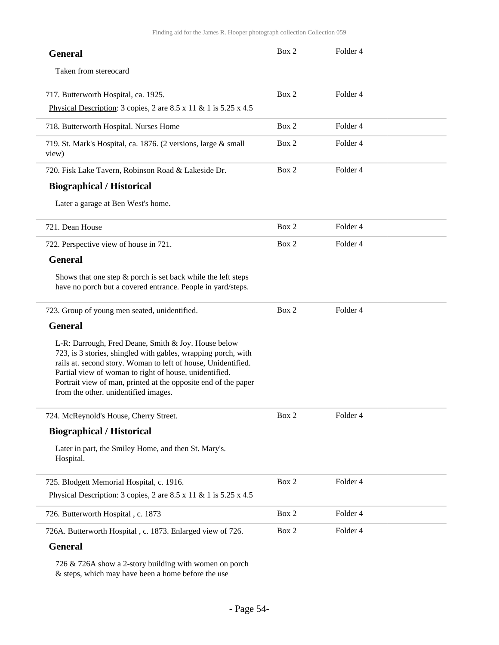| <b>General</b>                                                                                                                                                                                                                                                                                                                                            | Box 2 | Folder 4            |  |
|-----------------------------------------------------------------------------------------------------------------------------------------------------------------------------------------------------------------------------------------------------------------------------------------------------------------------------------------------------------|-------|---------------------|--|
| Taken from stereocard                                                                                                                                                                                                                                                                                                                                     |       |                     |  |
| 717. Butterworth Hospital, ca. 1925.                                                                                                                                                                                                                                                                                                                      | Box 2 | Folder 4            |  |
| Physical Description: 3 copies, 2 are $8.5 \times 11 \& 1$ is $5.25 \times 4.5$                                                                                                                                                                                                                                                                           |       |                     |  |
| 718. Butterworth Hospital. Nurses Home                                                                                                                                                                                                                                                                                                                    | Box 2 | Folder <sub>4</sub> |  |
| 719. St. Mark's Hospital, ca. 1876. (2 versions, large & small<br>view)                                                                                                                                                                                                                                                                                   | Box 2 | Folder 4            |  |
| 720. Fisk Lake Tavern, Robinson Road & Lakeside Dr.                                                                                                                                                                                                                                                                                                       | Box 2 | Folder 4            |  |
| <b>Biographical / Historical</b>                                                                                                                                                                                                                                                                                                                          |       |                     |  |
| Later a garage at Ben West's home.                                                                                                                                                                                                                                                                                                                        |       |                     |  |
| 721. Dean House                                                                                                                                                                                                                                                                                                                                           | Box 2 | Folder 4            |  |
| 722. Perspective view of house in 721.                                                                                                                                                                                                                                                                                                                    | Box 2 | Folder <sub>4</sub> |  |
| <b>General</b>                                                                                                                                                                                                                                                                                                                                            |       |                     |  |
| Shows that one step $\&$ porch is set back while the left steps<br>have no porch but a covered entrance. People in yard/steps.                                                                                                                                                                                                                            |       |                     |  |
| 723. Group of young men seated, unidentified.                                                                                                                                                                                                                                                                                                             | Box 2 | Folder 4            |  |
| <b>General</b>                                                                                                                                                                                                                                                                                                                                            |       |                     |  |
| L-R: Darrough, Fred Deane, Smith & Joy. House below<br>723, is 3 stories, shingled with gables, wrapping porch, with<br>rails at. second story. Woman to left of house, Unidentified.<br>Partial view of woman to right of house, unidentified.<br>Portrait view of man, printed at the opposite end of the paper<br>from the other. unidentified images. |       |                     |  |
| 724. McReynold's House, Cherry Street.                                                                                                                                                                                                                                                                                                                    | Box 2 | Folder 4            |  |
| <b>Biographical / Historical</b>                                                                                                                                                                                                                                                                                                                          |       |                     |  |
| Later in part, the Smiley Home, and then St. Mary's.<br>Hospital.                                                                                                                                                                                                                                                                                         |       |                     |  |
| 725. Blodgett Memorial Hospital, c. 1916.                                                                                                                                                                                                                                                                                                                 | Box 2 | Folder 4            |  |
| Physical Description: 3 copies, 2 are $8.5 \times 11 \& 1$ is $5.25 \times 4.5$                                                                                                                                                                                                                                                                           |       |                     |  |
| 726. Butterworth Hospital, c. 1873                                                                                                                                                                                                                                                                                                                        | Box 2 | Folder 4            |  |
| 726A. Butterworth Hospital, c. 1873. Enlarged view of 726.                                                                                                                                                                                                                                                                                                | Box 2 | Folder 4            |  |
| <b>General</b>                                                                                                                                                                                                                                                                                                                                            |       |                     |  |

726 & 726A show a 2-story building with women on porch & steps, which may have been a home before the use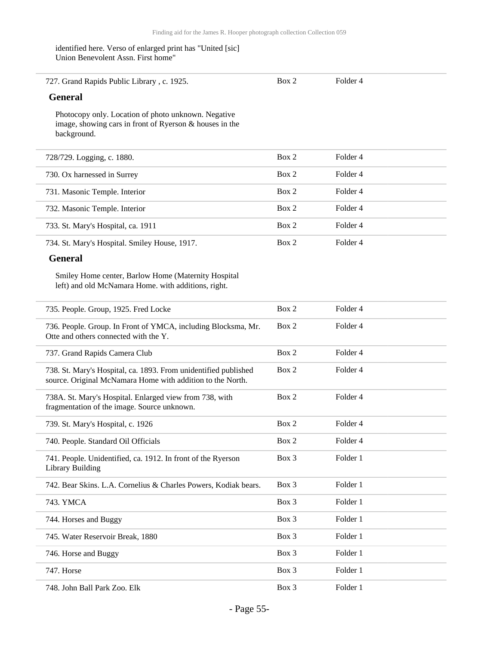#### identified here. Verso of enlarged print has "United [sic] Union Benevolent Assn. First home"

| 727. Grand Rapids Public Library, c. 1925.<br><b>General</b>                                                                  | Box 2 | Folder 4 |
|-------------------------------------------------------------------------------------------------------------------------------|-------|----------|
|                                                                                                                               |       |          |
| Photocopy only. Location of photo unknown. Negative<br>image, showing cars in front of Ryerson & houses in the<br>background. |       |          |
| 728/729. Logging, c. 1880.                                                                                                    | Box 2 | Folder 4 |
| 730. Ox harnessed in Surrey                                                                                                   | Box 2 | Folder 4 |
| 731. Masonic Temple. Interior                                                                                                 | Box 2 | Folder 4 |
| 732. Masonic Temple. Interior                                                                                                 | Box 2 | Folder 4 |
| 733. St. Mary's Hospital, ca. 1911                                                                                            | Box 2 | Folder 4 |
| 734. St. Mary's Hospital. Smiley House, 1917.                                                                                 | Box 2 | Folder 4 |

### **General**

i.

Smiley Home center, Barlow Home (Maternity Hospital left) and old McNamara Home. with additions, right.

| 735. People. Group, 1925. Fred Locke                                                                                          | Box 2   | Folder 4 |
|-------------------------------------------------------------------------------------------------------------------------------|---------|----------|
| 736. People. Group. In Front of YMCA, including Blocksma, Mr.<br>Otte and others connected with the Y.                        | Box 2   | Folder 4 |
| 737. Grand Rapids Camera Club                                                                                                 | Box 2   | Folder 4 |
| 738. St. Mary's Hospital, ca. 1893. From unidentified published<br>source. Original McNamara Home with addition to the North. | Box 2   | Folder 4 |
| 738A. St. Mary's Hospital. Enlarged view from 738, with<br>fragmentation of the image. Source unknown.                        | Box 2   | Folder 4 |
| 739. St. Mary's Hospital, c. 1926                                                                                             | Box 2   | Folder 4 |
| 740. People. Standard Oil Officials                                                                                           | Box 2   | Folder 4 |
| 741. People. Unidentified, ca. 1912. In front of the Ryerson<br>Library Building                                              | $Box$ 3 | Folder 1 |
| 742. Bear Skins. L.A. Cornelius & Charles Powers, Kodiak bears.                                                               | $Box$ 3 | Folder 1 |
| 743. YMCA                                                                                                                     | Box 3   | Folder 1 |
| 744. Horses and Buggy                                                                                                         | Box 3   | Folder 1 |
| 745. Water Reservoir Break, 1880                                                                                              | Box 3   | Folder 1 |
| 746. Horse and Buggy                                                                                                          | $Box$ 3 | Folder 1 |
| 747. Horse                                                                                                                    | $Box$ 3 | Folder 1 |
| 748. John Ball Park Zoo. Elk                                                                                                  | $Box$ 3 | Folder 1 |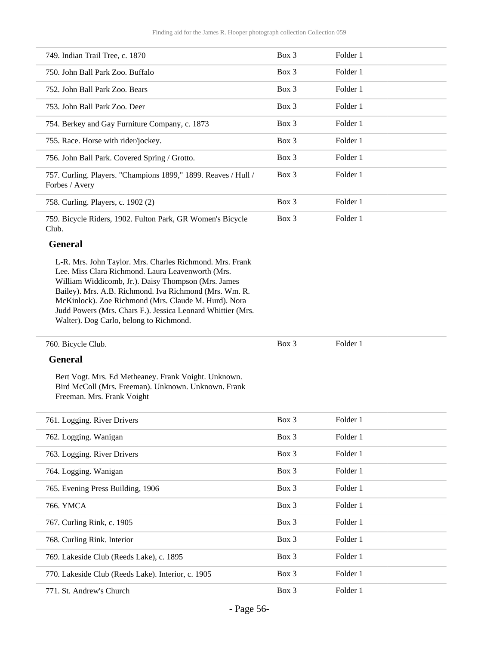| 749. Indian Trail Tree, c. 1870                                                                                                                                                                                                                                                                                                                                                                  | $Box$ 3 | Folder 1 |
|--------------------------------------------------------------------------------------------------------------------------------------------------------------------------------------------------------------------------------------------------------------------------------------------------------------------------------------------------------------------------------------------------|---------|----------|
| 750. John Ball Park Zoo. Buffalo                                                                                                                                                                                                                                                                                                                                                                 | Box 3   | Folder 1 |
| 752. John Ball Park Zoo. Bears                                                                                                                                                                                                                                                                                                                                                                   | Box 3   | Folder 1 |
| 753. John Ball Park Zoo. Deer                                                                                                                                                                                                                                                                                                                                                                    | Box 3   | Folder 1 |
| 754. Berkey and Gay Furniture Company, c. 1873                                                                                                                                                                                                                                                                                                                                                   | Box 3   | Folder 1 |
| 755. Race. Horse with rider/jockey.                                                                                                                                                                                                                                                                                                                                                              | Box 3   | Folder 1 |
| 756. John Ball Park. Covered Spring / Grotto.                                                                                                                                                                                                                                                                                                                                                    | Box 3   | Folder 1 |
| 757. Curling. Players. "Champions 1899," 1899. Reaves / Hull /<br>Forbes / Avery                                                                                                                                                                                                                                                                                                                 | Box 3   | Folder 1 |
| 758. Curling. Players, c. 1902 (2)                                                                                                                                                                                                                                                                                                                                                               | Box 3   | Folder 1 |
| 759. Bicycle Riders, 1902. Fulton Park, GR Women's Bicycle<br>Club.                                                                                                                                                                                                                                                                                                                              | Box 3   | Folder 1 |
| <b>General</b>                                                                                                                                                                                                                                                                                                                                                                                   |         |          |
| L-R. Mrs. John Taylor. Mrs. Charles Richmond. Mrs. Frank<br>Lee. Miss Clara Richmond. Laura Leavenworth (Mrs.<br>William Widdicomb, Jr.). Daisy Thompson (Mrs. James<br>Bailey). Mrs. A.B. Richmond. Iva Richmond (Mrs. Wm. R.<br>McKinlock). Zoe Richmond (Mrs. Claude M. Hurd). Nora<br>Judd Powers (Mrs. Chars F.). Jessica Leonard Whittier (Mrs.<br>Walter). Dog Carlo, belong to Richmond. |         |          |
| 760. Bicycle Club.                                                                                                                                                                                                                                                                                                                                                                               | Box 3   | Folder 1 |
| <b>General</b>                                                                                                                                                                                                                                                                                                                                                                                   |         |          |
| Bert Vogt. Mrs. Ed Metheaney. Frank Voight. Unknown.<br>Bird McColl (Mrs. Freeman). Unknown. Unknown. Frank<br>Freeman. Mrs. Frank Voight                                                                                                                                                                                                                                                        |         |          |
| 761. Logging. River Drivers                                                                                                                                                                                                                                                                                                                                                                      | Box 3   | Folder 1 |
| 762. Logging. Wanigan                                                                                                                                                                                                                                                                                                                                                                            | Box 3   | Folder 1 |
| 763. Logging. River Drivers                                                                                                                                                                                                                                                                                                                                                                      | Box 3   | Folder 1 |
| 764. Logging. Wanigan                                                                                                                                                                                                                                                                                                                                                                            | Box 3   | Folder 1 |
| 765. Evening Press Building, 1906                                                                                                                                                                                                                                                                                                                                                                | Box 3   | Folder 1 |
| 766. YMCA                                                                                                                                                                                                                                                                                                                                                                                        | Box 3   | Folder 1 |
| 767. Curling Rink, c. 1905                                                                                                                                                                                                                                                                                                                                                                       | Box 3   | Folder 1 |
| 768. Curling Rink. Interior                                                                                                                                                                                                                                                                                                                                                                      | Box 3   | Folder 1 |
| 769. Lakeside Club (Reeds Lake), c. 1895                                                                                                                                                                                                                                                                                                                                                         | Box 3   | Folder 1 |
| 770. Lakeside Club (Reeds Lake). Interior, c. 1905                                                                                                                                                                                                                                                                                                                                               | Box 3   | Folder 1 |
| 771. St. Andrew's Church                                                                                                                                                                                                                                                                                                                                                                         | Box 3   | Folder 1 |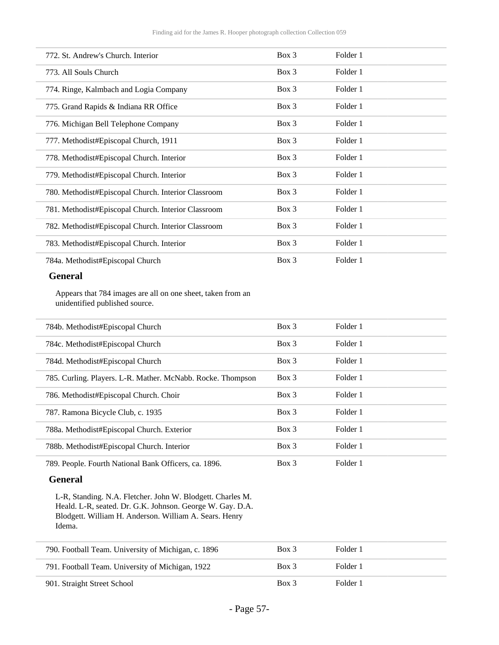| 772. St. Andrew's Church. Interior                  | Box 3    | Folder 1 |  |
|-----------------------------------------------------|----------|----------|--|
| 773. All Souls Church                               | Box 3    | Folder 1 |  |
| 774. Ringe, Kalmbach and Logia Company              | $Box\ 3$ | Folder 1 |  |
| 775. Grand Rapids & Indiana RR Office               | Box 3    | Folder 1 |  |
| 776. Michigan Bell Telephone Company                | Box 3    | Folder 1 |  |
| 777. Methodist#Episcopal Church, 1911               | Box 3    | Folder 1 |  |
| 778. Methodist#Episcopal Church. Interior           | Box 3    | Folder 1 |  |
| 779. Methodist#Episcopal Church. Interior           | Box 3    | Folder 1 |  |
| 780. Methodist#Episcopal Church. Interior Classroom | Box 3    | Folder 1 |  |
| 781. Methodist#Episcopal Church. Interior Classroom | Box 3    | Folder 1 |  |
| 782. Methodist#Episcopal Church. Interior Classroom | Box 3    | Folder 1 |  |
| 783. Methodist#Episcopal Church. Interior           | Box 3    | Folder 1 |  |
| 784a. Methodist#Episcopal Church                    | Box 3    | Folder 1 |  |
|                                                     |          |          |  |

#### **General**

Appears that 784 images are all on one sheet, taken from an unidentified published source.

| 784b. Methodist#Episcopal Church                            | $Box\ 3$ | Folder 1 |  |
|-------------------------------------------------------------|----------|----------|--|
| 784c. Methodist#Episcopal Church                            | $Box\ 3$ | Folder 1 |  |
| 784d. Methodist#Episcopal Church                            | Box 3    | Folder 1 |  |
| 785. Curling. Players. L-R. Mather. McNabb. Rocke. Thompson | $Box\ 3$ | Folder 1 |  |
| 786. Methodist#Episcopal Church. Choir                      | $Box\ 3$ | Folder 1 |  |
| 787. Ramona Bicycle Club, c. 1935                           | $Box$ 3  | Folder 1 |  |
| 788a. Methodist#Episcopal Church. Exterior                  | Box 3    | Folder 1 |  |
| 788b. Methodist#Episcopal Church. Interior                  | $Box$ 3  | Folder 1 |  |
| 789. People. Fourth National Bank Officers, ca. 1896.       | $Box\ 3$ | Folder 1 |  |

#### **General**

L-R, Standing. N.A. Fletcher. John W. Blodgett. Charles M. Heald. L-R, seated. Dr. G.K. Johnson. George W. Gay. D.A. Blodgett. William H. Anderson. William A. Sears. Henry Idema.

| 790. Football Team. University of Michigan, c. 1896 | Box 3   | Folder 1 |  |
|-----------------------------------------------------|---------|----------|--|
| 791. Football Team. University of Michigan, 1922    | Box 3   | Folder 1 |  |
| 901. Straight Street School                         | $Box$ 3 | Folder 1 |  |